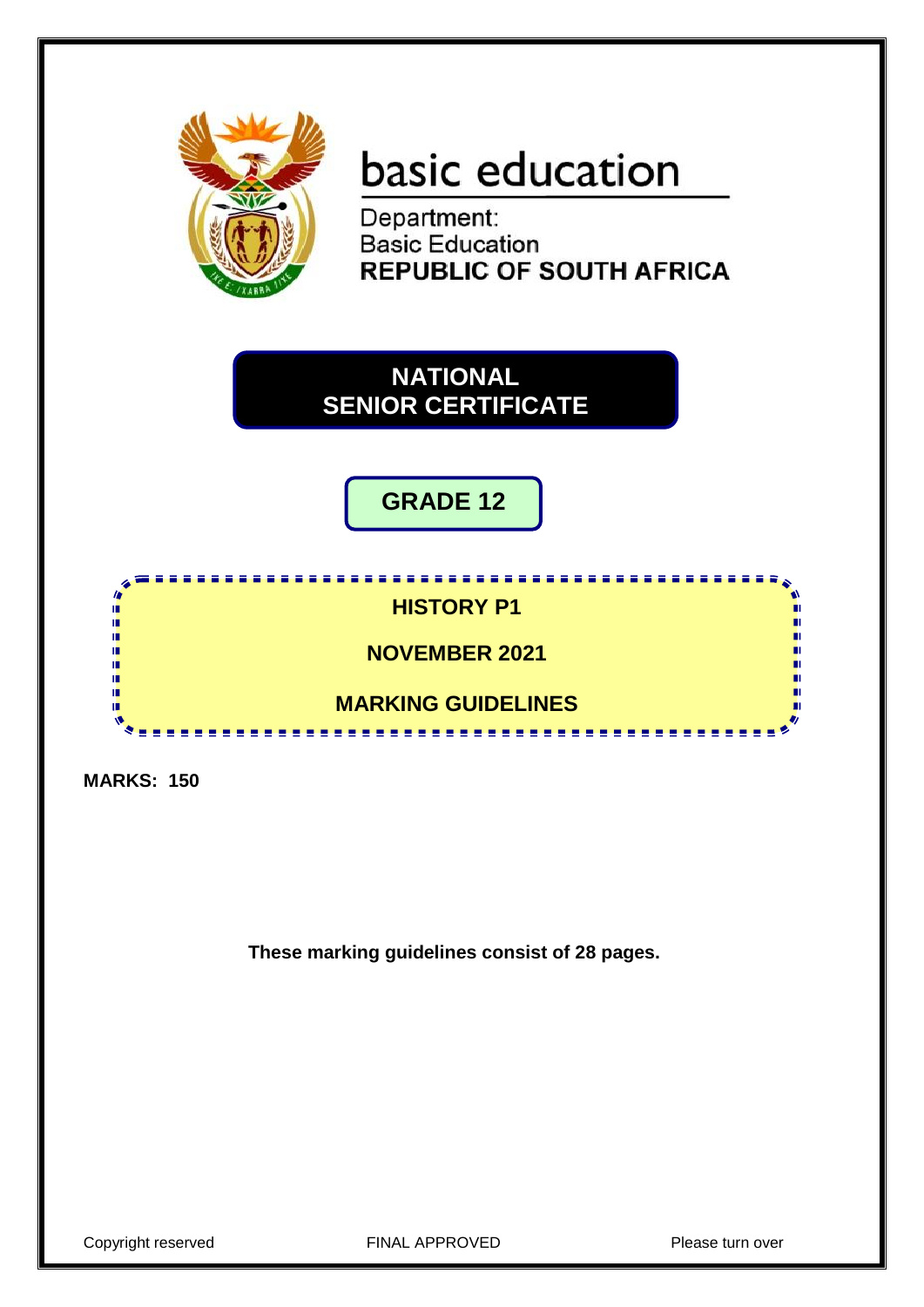

# basic education

Department: **Basic Education REPUBLIC OF SOUTH AFRICA** 

**NATIONAL SENIOR CERTIFICATE**

**GRADE 12**



**MARKS: 150**

**These marking guidelines consist of 28 pages.**

Copyright reserved **FINAL APPROVED** Please turn over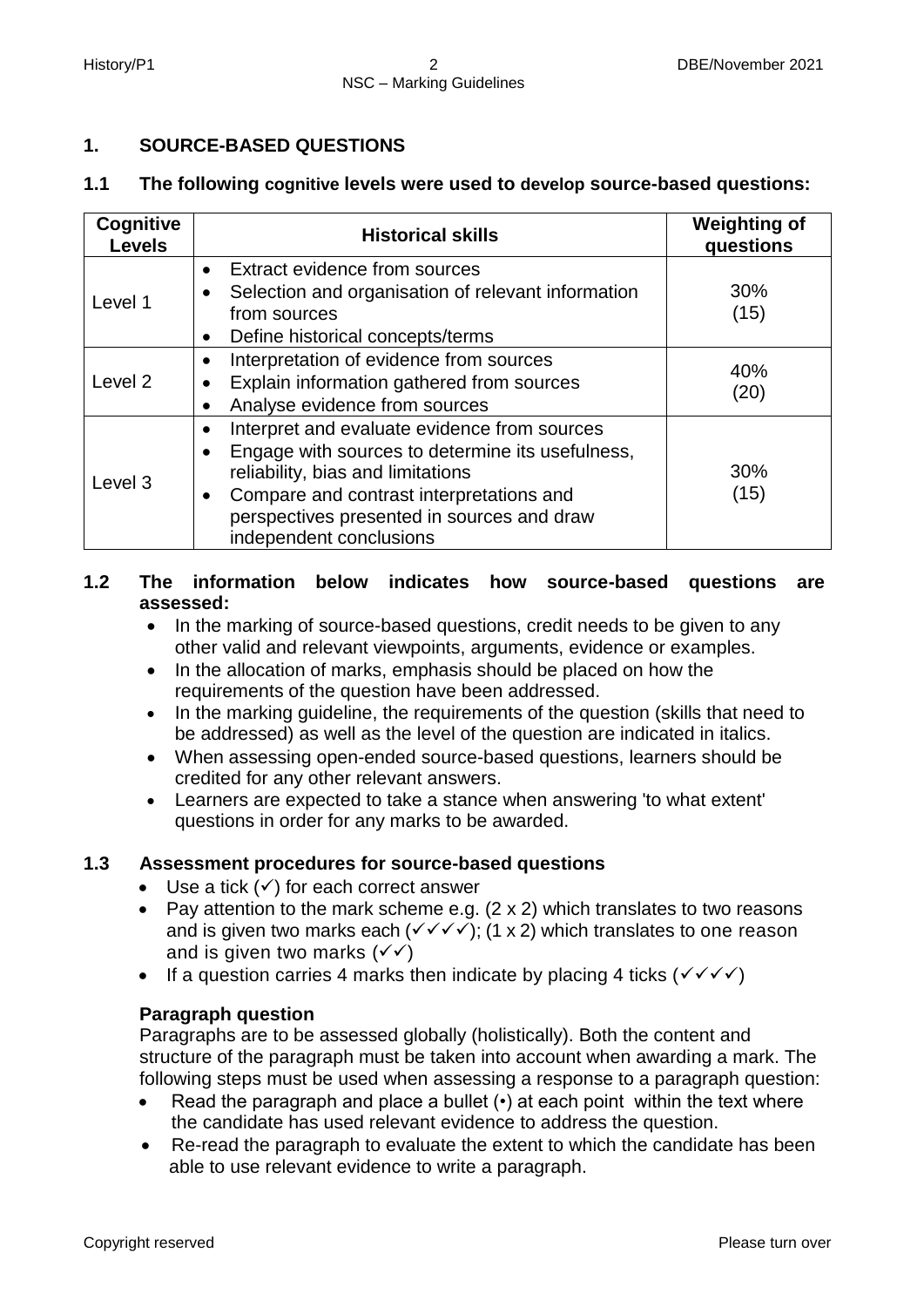# **1. SOURCE-BASED QUESTIONS**

# **1.1 The following cognitive levels were used to develop source-based questions:**

| Cognitive<br><b>Levels</b> | <b>Historical skills</b>                                                                                                                                                                                                                                                                          | <b>Weighting of</b><br>questions |
|----------------------------|---------------------------------------------------------------------------------------------------------------------------------------------------------------------------------------------------------------------------------------------------------------------------------------------------|----------------------------------|
| Level 1                    | Extract evidence from sources<br>$\bullet$<br>Selection and organisation of relevant information<br>from sources<br>Define historical concepts/terms<br>$\bullet$                                                                                                                                 | 30%<br>(15)                      |
| Level <sub>2</sub>         | Interpretation of evidence from sources<br>$\bullet$<br>Explain information gathered from sources<br>$\bullet$<br>Analyse evidence from sources<br>$\bullet$                                                                                                                                      | 40%<br>(20)                      |
| Level 3                    | Interpret and evaluate evidence from sources<br>$\bullet$<br>Engage with sources to determine its usefulness,<br>$\bullet$<br>reliability, bias and limitations<br>Compare and contrast interpretations and<br>$\bullet$<br>perspectives presented in sources and draw<br>independent conclusions | 30%<br>(15)                      |

# **1.2 The information below indicates how source-based questions are assessed:**

- In the marking of source-based questions, credit needs to be given to any other valid and relevant viewpoints, arguments, evidence or examples.
- In the allocation of marks, emphasis should be placed on how the requirements of the question have been addressed.
- In the marking guideline, the requirements of the question (skills that need to be addressed) as well as the level of the question are indicated in italics.
- When assessing open-ended source-based questions, learners should be credited for any other relevant answers.
- Learners are expected to take a stance when answering 'to what extent' questions in order for any marks to be awarded.

# **1.3 Assessment procedures for source-based questions**

- $\bullet$  Use a tick  $(\checkmark)$  for each correct answer
- Pav attention to the mark scheme e.g.  $(2 \times 2)$  which translates to two reasons and is given two marks each  $(\sqrt{\sqrt{}})$ ; (1 x 2) which translates to one reason and is given two marks  $(\sqrt{\sqrt})$
- If a question carries 4 marks then indicate by placing 4 ticks ( $\checkmark \checkmark \checkmark$ )

# **Paragraph question**

Paragraphs are to be assessed globally (holistically). Both the content and structure of the paragraph must be taken into account when awarding a mark. The following steps must be used when assessing a response to a paragraph question:

- Read the paragraph and place a bullet (•) at each point within the text where the candidate has used relevant evidence to address the question.
- Re-read the paragraph to evaluate the extent to which the candidate has been able to use relevant evidence to write a paragraph.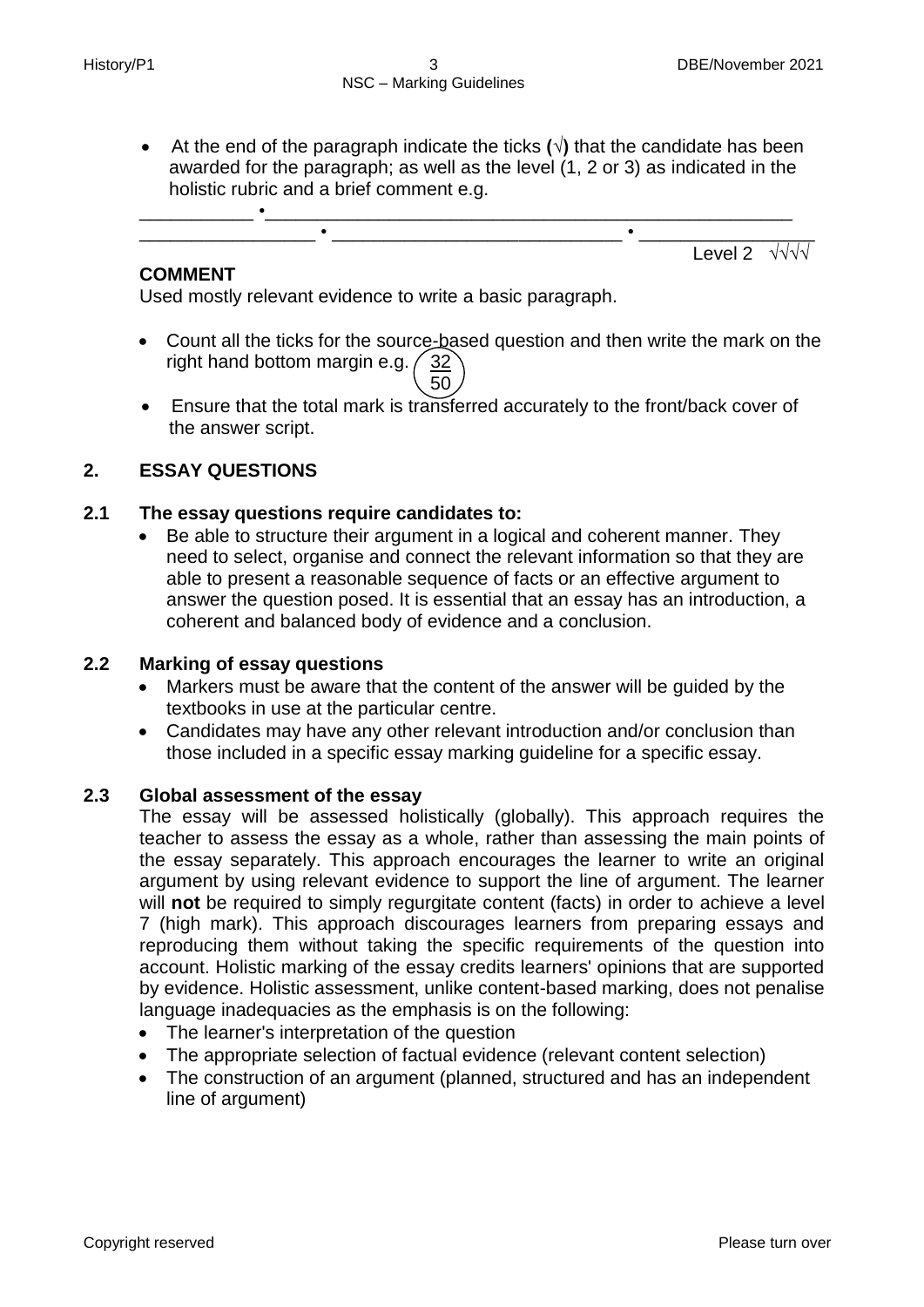At the end of the paragraph indicate the ticks **(√)** that the candidate has been awarded for the paragraph; as well as the level (1, 2 or 3) as indicated in the holistic rubric and a brief comment e.g.



# **COMMENT**

Used mostly relevant evidence to write a basic paragraph.

- Count all the ticks for the source-based question and then write the mark on the right hand bottom margin e.g.  $\frac{32}{ }$  $\setminus$  50
	- Ensure that the total mark is transferred accurately to the front/back cover of the answer script.

# **2. ESSAY QUESTIONS**

## **2.1 The essay questions require candidates to:**

 Be able to structure their argument in a logical and coherent manner. They need to select, organise and connect the relevant information so that they are able to present a reasonable sequence of facts or an effective argument to answer the question posed. It is essential that an essay has an introduction, a coherent and balanced body of evidence and a conclusion.

## **2.2 Marking of essay questions**

- Markers must be aware that the content of the answer will be guided by the textbooks in use at the particular centre.
- Candidates may have any other relevant introduction and/or conclusion than those included in a specific essay marking guideline for a specific essay.

## **2.3 Global assessment of the essay**

The essay will be assessed holistically (globally). This approach requires the teacher to assess the essay as a whole, rather than assessing the main points of the essay separately. This approach encourages the learner to write an original argument by using relevant evidence to support the line of argument. The learner will **not** be required to simply regurgitate content (facts) in order to achieve a level 7 (high mark). This approach discourages learners from preparing essays and reproducing them without taking the specific requirements of the question into account. Holistic marking of the essay credits learners' opinions that are supported by evidence. Holistic assessment, unlike content-based marking, does not penalise language inadequacies as the emphasis is on the following:

- The learner's interpretation of the question
- The appropriate selection of factual evidence (relevant content selection)
- The construction of an argument (planned, structured and has an independent line of argument)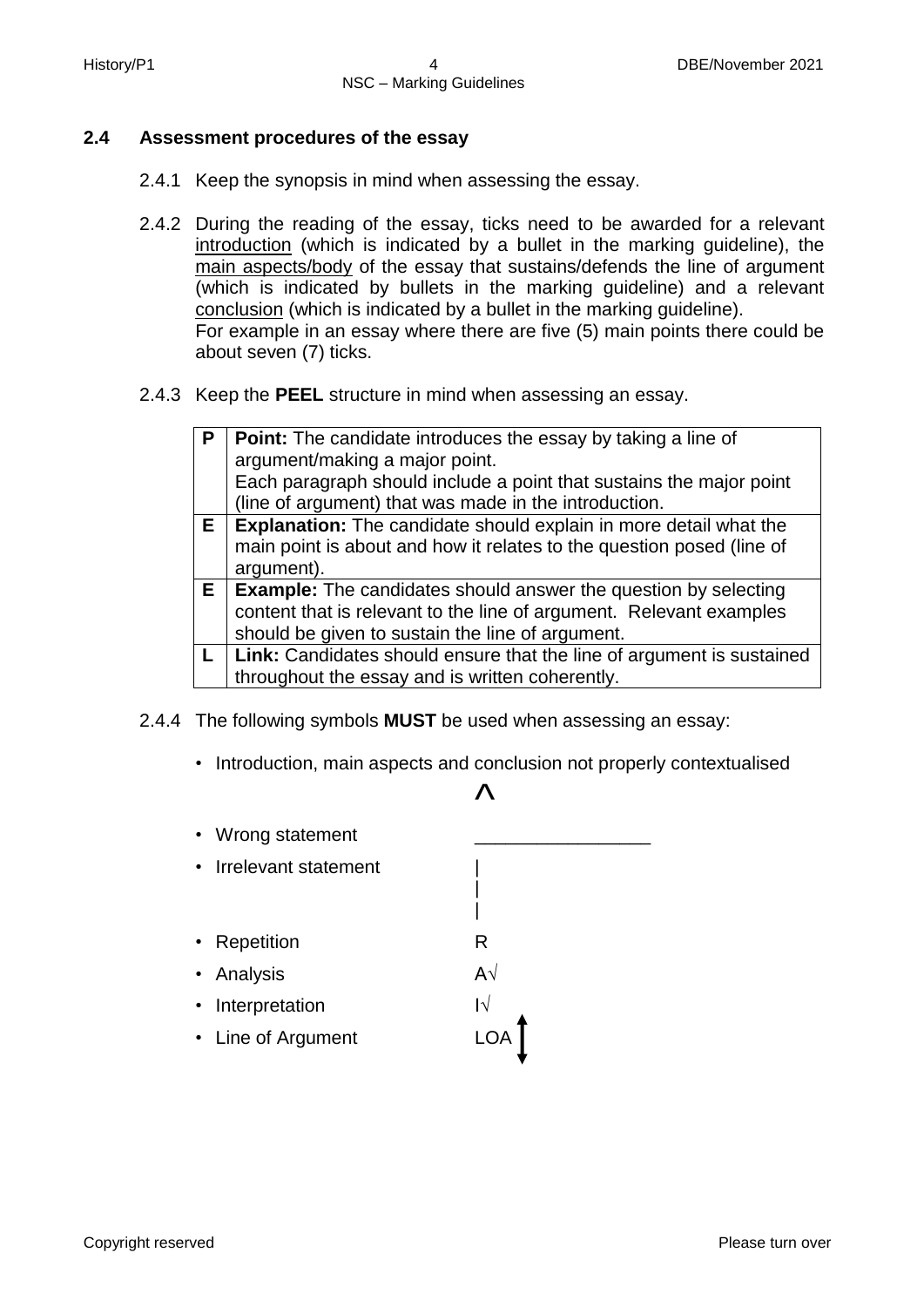# **2.4 Assessment procedures of the essay**

- 2.4.1 Keep the synopsis in mind when assessing the essay.
- 2.4.2 During the reading of the essay, ticks need to be awarded for a relevant introduction (which is indicated by a bullet in the marking guideline), the main aspects/body of the essay that sustains/defends the line of argument (which is indicated by bullets in the marking guideline) and a relevant conclusion (which is indicated by a bullet in the marking guideline). For example in an essay where there are five (5) main points there could be about seven (7) ticks.
- 2.4.3 Keep the **PEEL** structure in mind when assessing an essay.

| P  | <b>Point:</b> The candidate introduces the essay by taking a line of     |
|----|--------------------------------------------------------------------------|
|    | argument/making a major point.                                           |
|    | Each paragraph should include a point that sustains the major point      |
|    | (line of argument) that was made in the introduction.                    |
| Е. | <b>Explanation:</b> The candidate should explain in more detail what the |
|    | main point is about and how it relates to the question posed (line of    |
|    | argument).                                                               |
|    | $E$   Example: The candidates should answer the question by selecting    |
|    | content that is relevant to the line of argument. Relevant examples      |
|    | should be given to sustain the line of argument.                         |
|    | Link: Candidates should ensure that the line of argument is sustained    |
|    | throughout the essay and is written coherently.                          |

- 2.4.4 The following symbols **MUST** be used when assessing an essay:
	- Introduction, main aspects and conclusion not properly contextualised

# $\mathcal{L}$

| |

- Wrong statement
- Irrelevant statement |
- Repetition **R**
- Analysis A√
- Interpretation I√
- Line of Argument LOA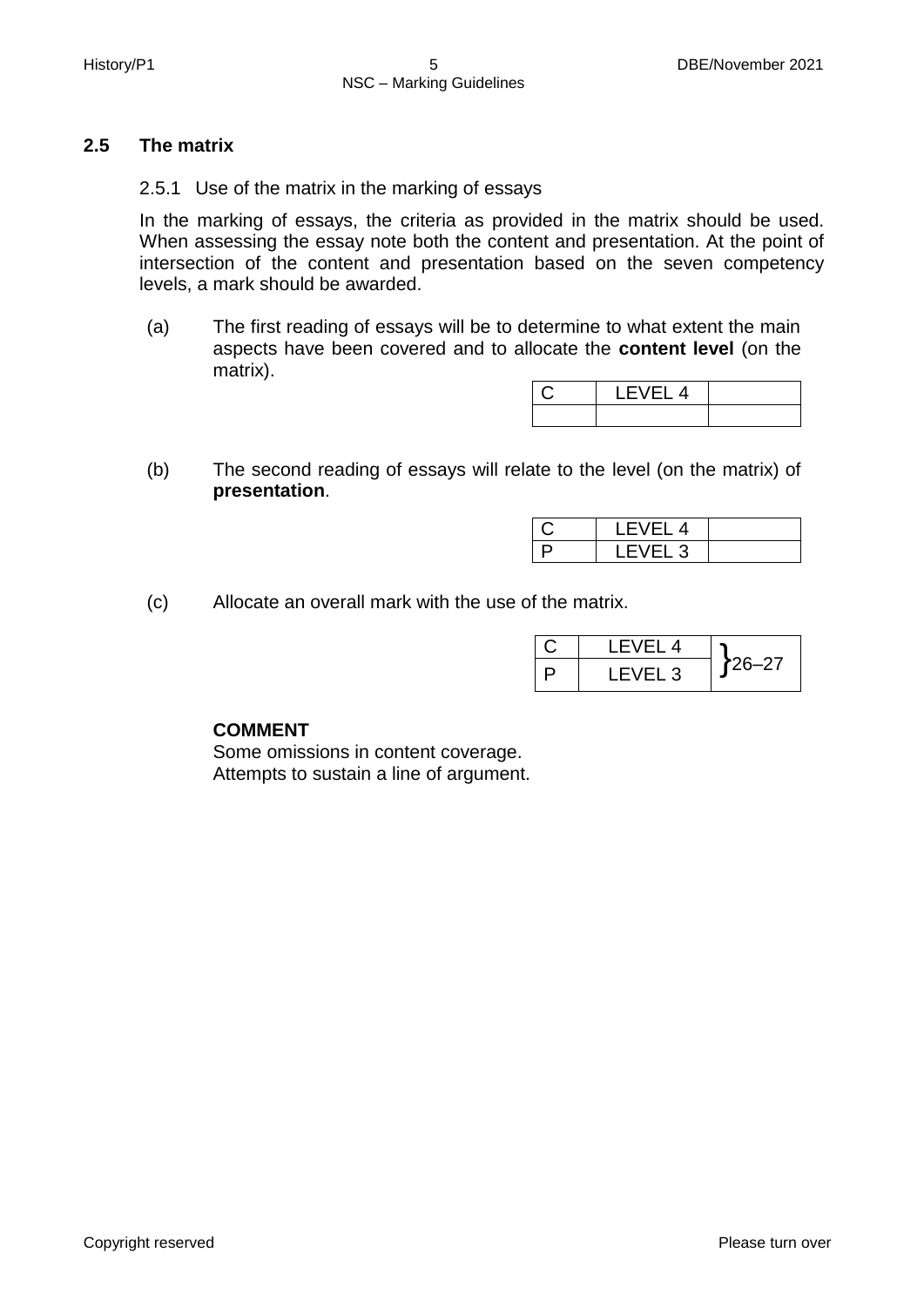# **2.5 The matrix**

2.5.1 Use of the matrix in the marking of essays

In the marking of essays, the criteria as provided in the matrix should be used. When assessing the essay note both the content and presentation. At the point of intersection of the content and presentation based on the seven competency levels, a mark should be awarded.

(a) The first reading of essays will be to determine to what extent the main aspects have been covered and to allocate the **content level** (on the matrix).

| LEVEL 4 |  |
|---------|--|
|         |  |

(b) The second reading of essays will relate to the level (on the matrix) of **presentation**.

|   | 4 |  |
|---|---|--|
| ⊐ | ں |  |

(c) Allocate an overall mark with the use of the matrix.

| LEVEL 4 |        |
|---------|--------|
| LEVEL 3 | 126–27 |

# **COMMENT**

Some omissions in content coverage. Attempts to sustain a line of argument.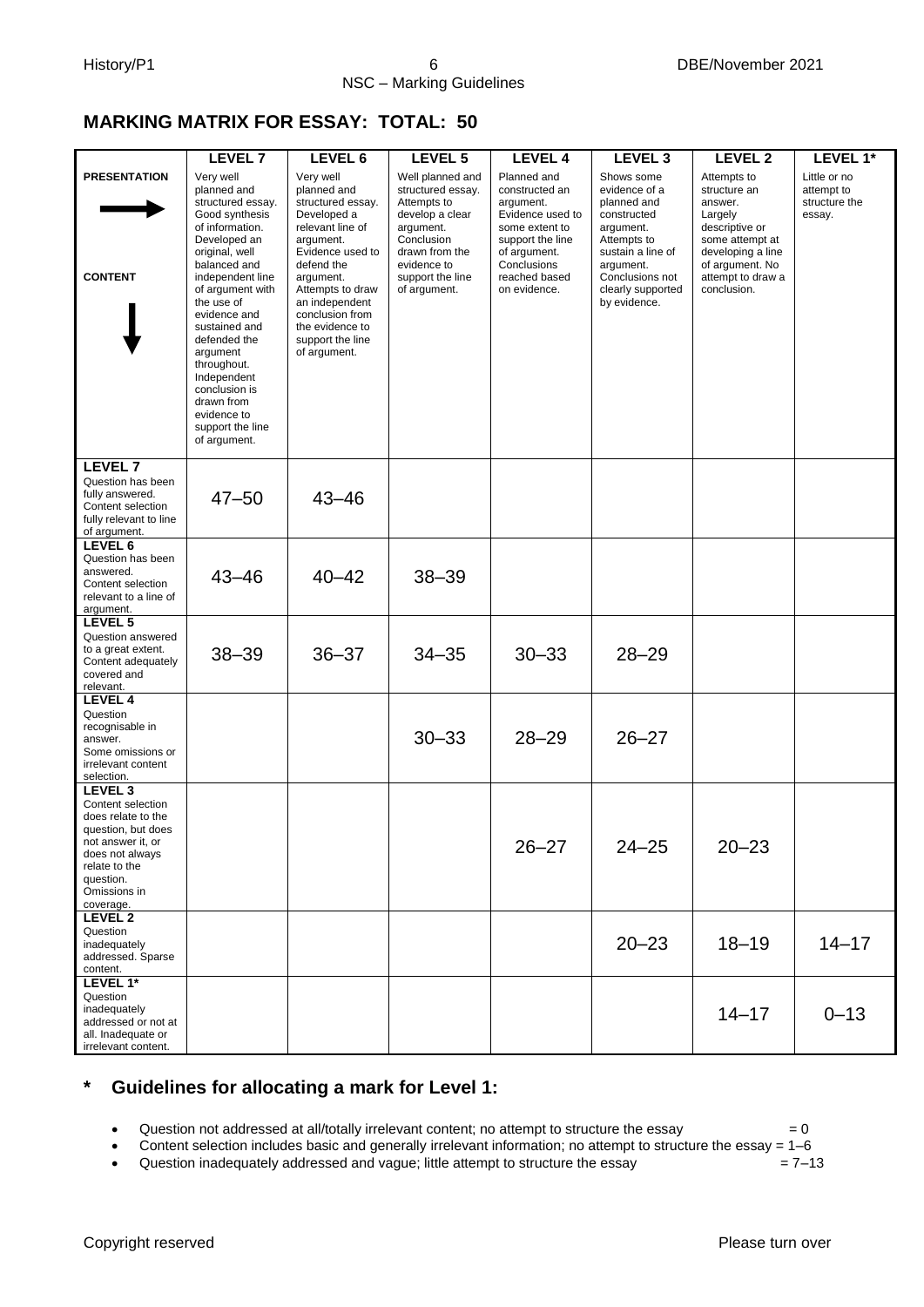# **MARKING MATRIX FOR ESSAY: TOTAL: 50**

|                                                                                                                                                                                        | <b>LEVEL 7</b>                                                                                                                                                                                                                                                                                                                                                          | LEVEL 6                                                                                                                                                                                                                                                      | LEVEL 5                                                                                                                                                                 | <b>LEVEL 4</b>                                                                                                                                                       | LEVEL <sub>3</sub>                                                                                                                                                              | <b>LEVEL 2</b>                                                                                                                                                     | LEVEL 1*                                              |
|----------------------------------------------------------------------------------------------------------------------------------------------------------------------------------------|-------------------------------------------------------------------------------------------------------------------------------------------------------------------------------------------------------------------------------------------------------------------------------------------------------------------------------------------------------------------------|--------------------------------------------------------------------------------------------------------------------------------------------------------------------------------------------------------------------------------------------------------------|-------------------------------------------------------------------------------------------------------------------------------------------------------------------------|----------------------------------------------------------------------------------------------------------------------------------------------------------------------|---------------------------------------------------------------------------------------------------------------------------------------------------------------------------------|--------------------------------------------------------------------------------------------------------------------------------------------------------------------|-------------------------------------------------------|
| <b>PRESENTATION</b><br><b>CONTENT</b>                                                                                                                                                  | Very well<br>planned and<br>structured essay.<br>Good synthesis<br>of information.<br>Developed an<br>original, well<br>balanced and<br>independent line<br>of argument with<br>the use of<br>evidence and<br>sustained and<br>defended the<br>argument<br>throughout.<br>Independent<br>conclusion is<br>drawn from<br>evidence to<br>support the line<br>of argument. | Very well<br>planned and<br>structured essay.<br>Developed a<br>relevant line of<br>argument.<br>Evidence used to<br>defend the<br>argument.<br>Attempts to draw<br>an independent<br>conclusion from<br>the evidence to<br>support the line<br>of argument. | Well planned and<br>structured essay.<br>Attempts to<br>develop a clear<br>argument.<br>Conclusion<br>drawn from the<br>evidence to<br>support the line<br>of argument. | Planned and<br>constructed an<br>argument.<br>Evidence used to<br>some extent to<br>support the line<br>of argument.<br>Conclusions<br>reached based<br>on evidence. | Shows some<br>evidence of a<br>planned and<br>constructed<br>argument.<br>Attempts to<br>sustain a line of<br>argument.<br>Conclusions not<br>clearly supported<br>by evidence. | Attempts to<br>structure an<br>answer.<br>Largely<br>descriptive or<br>some attempt at<br>developing a line<br>of argument. No<br>attempt to draw a<br>conclusion. | Little or no<br>attempt to<br>structure the<br>essay. |
| <b>LEVEL 7</b><br>Question has been<br>fully answered.<br>Content selection<br>fully relevant to line<br>of argument.                                                                  | $47 - 50$                                                                                                                                                                                                                                                                                                                                                               | $43 - 46$                                                                                                                                                                                                                                                    |                                                                                                                                                                         |                                                                                                                                                                      |                                                                                                                                                                                 |                                                                                                                                                                    |                                                       |
| LEVEL 6<br>Question has been<br>answered.<br>Content selection<br>relevant to a line of<br>argument.                                                                                   | $43 - 46$                                                                                                                                                                                                                                                                                                                                                               | $40 - 42$                                                                                                                                                                                                                                                    | $38 - 39$                                                                                                                                                               |                                                                                                                                                                      |                                                                                                                                                                                 |                                                                                                                                                                    |                                                       |
| LEVEL <sub>5</sub><br>Question answered<br>to a great extent.<br>Content adequately<br>covered and<br>relevant.                                                                        | $38 - 39$                                                                                                                                                                                                                                                                                                                                                               | $36 - 37$                                                                                                                                                                                                                                                    | $34 - 35$                                                                                                                                                               | $30 - 33$                                                                                                                                                            | $28 - 29$                                                                                                                                                                       |                                                                                                                                                                    |                                                       |
| LEVEL 4<br>Question<br>recognisable in<br>answer.<br>Some omissions or<br>irrelevant content<br>selection.                                                                             |                                                                                                                                                                                                                                                                                                                                                                         |                                                                                                                                                                                                                                                              | $30 - 33$                                                                                                                                                               | $28 - 29$                                                                                                                                                            | $26 - 27$                                                                                                                                                                       |                                                                                                                                                                    |                                                       |
| LEVEL <sub>3</sub><br>Content selection<br>does relate to the<br>question, but does<br>not answer it, or<br>does not always<br>relate to the<br>question.<br>Omissions in<br>coverage. |                                                                                                                                                                                                                                                                                                                                                                         |                                                                                                                                                                                                                                                              |                                                                                                                                                                         | $26 - 27$                                                                                                                                                            | $24 - 25$                                                                                                                                                                       | $20 - 23$                                                                                                                                                          |                                                       |
| LEVEL 2<br>Question<br>inadequately<br>addressed. Sparse<br>content.                                                                                                                   |                                                                                                                                                                                                                                                                                                                                                                         |                                                                                                                                                                                                                                                              |                                                                                                                                                                         |                                                                                                                                                                      | $20 - 23$                                                                                                                                                                       | $18 - 19$                                                                                                                                                          | $14 - 17$                                             |
| LEVEL 1*<br>Question<br>inadequately<br>addressed or not at<br>all. Inadequate or<br>irrelevant content.                                                                               |                                                                                                                                                                                                                                                                                                                                                                         |                                                                                                                                                                                                                                                              |                                                                                                                                                                         |                                                                                                                                                                      |                                                                                                                                                                                 | $14 - 17$                                                                                                                                                          | $0 - 13$                                              |

# **\* Guidelines for allocating a mark for Level 1:**

• Question not addressed at all/totally irrelevant content; no attempt to structure the essay  $= 0$ 

Content selection includes basic and generally irrelevant information; no attempt to structure the essay = 1–6

• Question inadequately addressed and vague; little attempt to structure the essay  $= 7-13$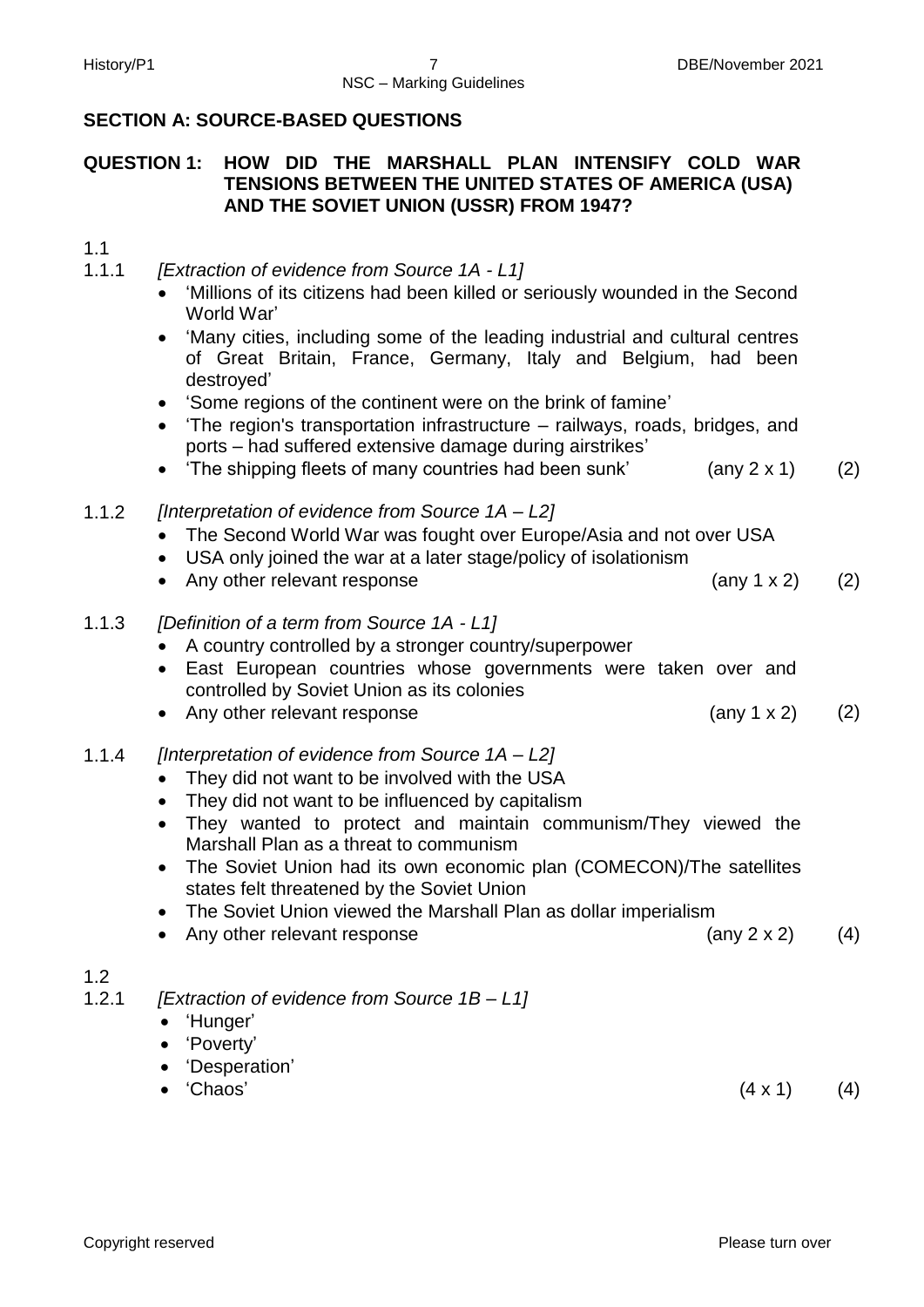# **SECTION A: SOURCE-BASED QUESTIONS**

# **QUESTION 1: HOW DID THE MARSHALL PLAN INTENSIFY COLD WAR TENSIONS BETWEEN THE UNITED STATES OF AMERICA (USA) AND THE SOVIET UNION (USSR) FROM 1947?**

# 1.1

1.1.1 *[Extraction of evidence from Source 1A - L1]*

- 'Millions of its citizens had been killed or seriously wounded in the Second World War'
- 'Many cities, including some of the leading industrial and cultural centres of Great Britain, France, Germany, Italy and Belgium, had been destroyed'
- 'Some regions of the continent were on the brink of famine'
- 'The region's transportation infrastructure railways, roads, bridges, and ports – had suffered extensive damage during airstrikes'
- 'The shipping fleets of many countries had been sunk' (any 2 x 1) (2)
- 1.1.2 *[Interpretation of evidence from Source 1A – L2]*
	- The Second World War was fought over Europe/Asia and not over USA
	- USA only joined the war at a later stage/policy of isolationism
	- Any other relevant response  $(2)$
- 1.1.3 *[Definition of a term from Source 1A - L1]*
	- A country controlled by a stronger country/superpower
	- East European countries whose governments were taken over and controlled by Soviet Union as its colonies
	- Any other relevant response (any 1 x 2) (2)
- 1.1.4 *[Interpretation of evidence from Source 1A – L2]*
	- They did not want to be involved with the USA
	- They did not want to be influenced by capitalism
	- They wanted to protect and maintain communism/They viewed the Marshall Plan as a threat to communism
	- The Soviet Union had its own economic plan (COMECON)/The satellites states felt threatened by the Soviet Union
	- The Soviet Union viewed the Marshall Plan as dollar imperialism
	- Any other relevant response (any 2 x 2) (4)
- 1.2
- 1.2.1 *[Extraction of evidence from Source 1B – L1]*
	- 'Hunger'
	- 'Poverty'
	- 'Desperation'
	- 'Chaos'  $(4 \times 1)$  (4)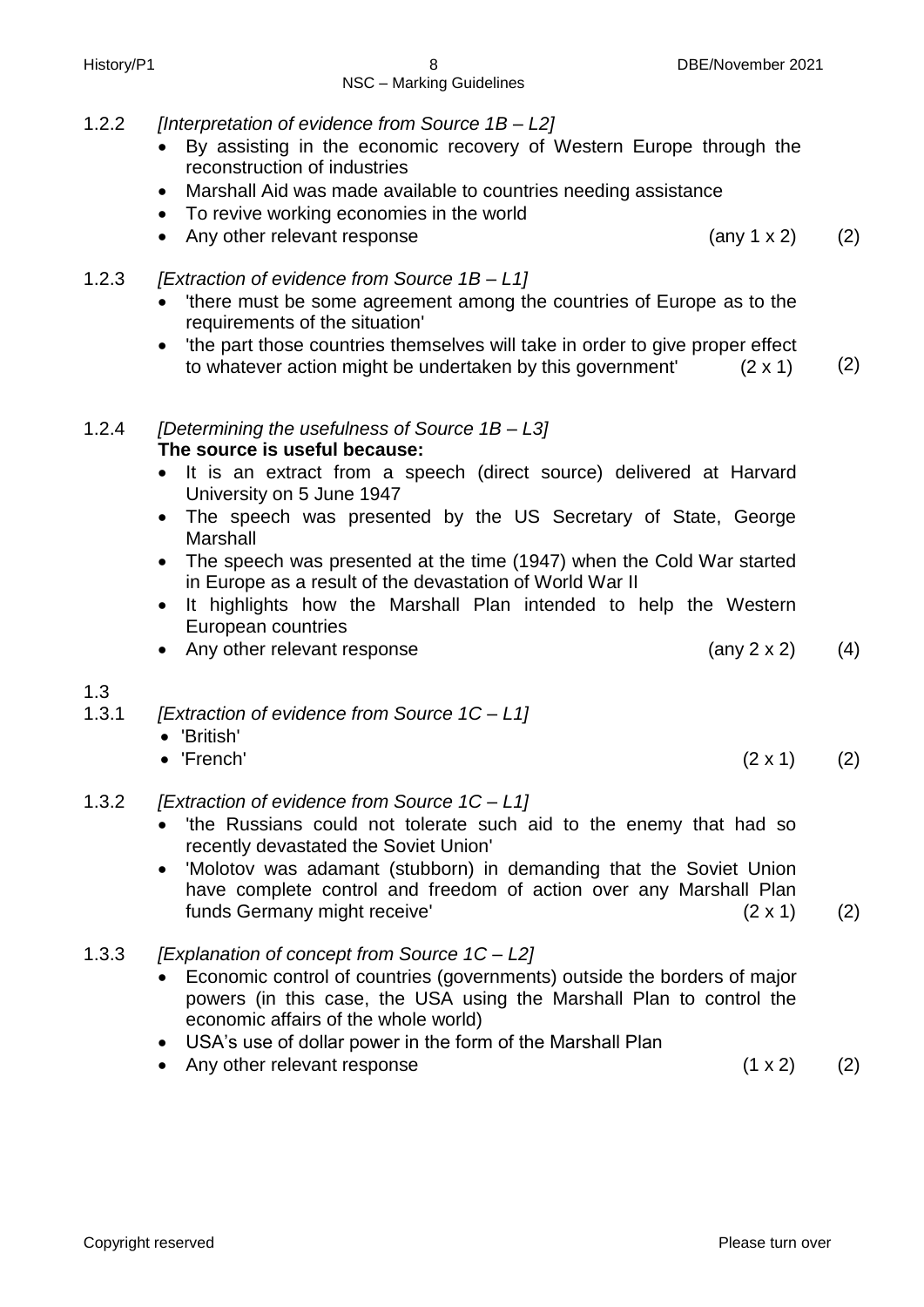- 1.2.2 *[Interpretation of evidence from Source 1B – L2]*
	- By assisting in the economic recovery of Western Europe through the reconstruction of industries
	- Marshall Aid was made available to countries needing assistance
	- To revive working economies in the world
	- Any other relevant response (any 1 x 2) (2)

# 1.2.3 *[Extraction of evidence from Source 1B – L1]*

- 'there must be some agreement among the countries of Europe as to the requirements of the situation'
- 'the part those countries themselves will take in order to give proper effect to whatever action might be undertaken by this government'  $(2 \times 1)$  (2)

# 1.2.4 *[Determining the usefulness of Source 1B – L3]* **The source is useful because:**

- It is an extract from a speech (direct source) delivered at Harvard University on 5 June 1947
- The speech was presented by the US Secretary of State, George **Marshall**
- The speech was presented at the time (1947) when the Cold War started in Europe as a result of the devastation of World War II
- It highlights how the Marshall Plan intended to help the Western European countries
- Any other relevant response (any 2 x 2) (4)
- 1.3
- 1.3.1 *[Extraction of evidence from Source 1C – L1]*
	- 'British'
	- 'French'  $(2 \times 1)$   $(2)$

# 1.3.2 *[Extraction of evidence from Source 1C – L1]*

- 'the Russians could not tolerate such aid to the enemy that had so recently devastated the Soviet Union'
- 'Molotov was adamant (stubborn) in demanding that the Soviet Union have complete control and freedom of action over any Marshall Plan funds Germany might receive' (2 x 1) (2)
- 1.3.3 *[Explanation of concept from Source 1C – L2]*
	- Economic control of countries (governments) outside the borders of major powers (in this case, the USA using the Marshall Plan to control the economic affairs of the whole world)
	- USA's use of dollar power in the form of the Marshall Plan
	- Any other relevant response (1 x 2) (2)
-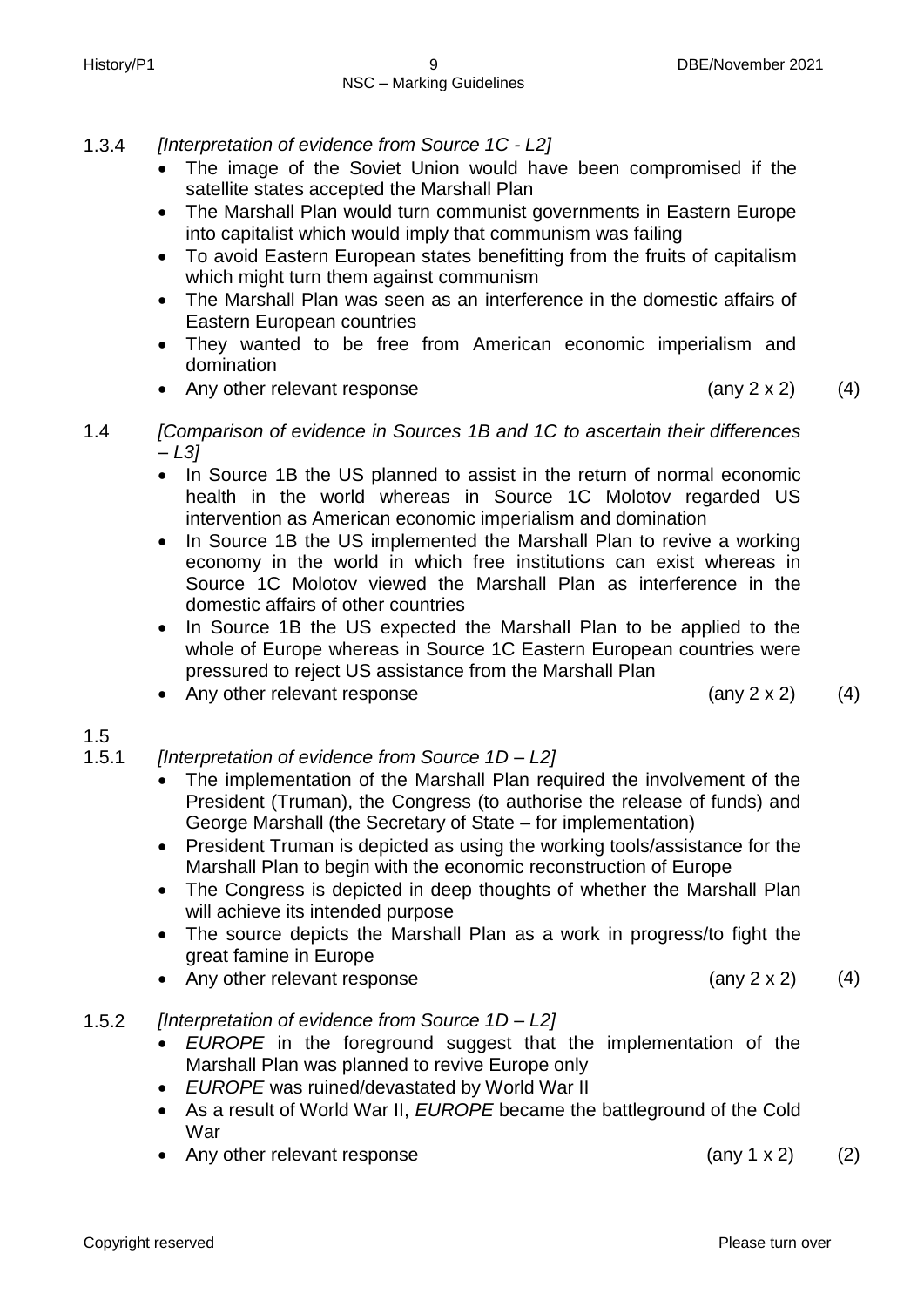- 1.3.4 *[Interpretation of evidence from Source 1C - L2]*
	- The image of the Soviet Union would have been compromised if the satellite states accepted the Marshall Plan
	- The Marshall Plan would turn communist governments in Eastern Europe into capitalist which would imply that communism was failing
	- To avoid Eastern European states benefitting from the fruits of capitalism which might turn them against communism
	- The Marshall Plan was seen as an interference in the domestic affairs of Eastern European countries
	- They wanted to be free from American economic imperialism and domination
	- Any other relevant response (any 2 x 2) (4)

- 1.4 *[Comparison of evidence in Sources 1B and 1C to ascertain their differences – L3]*
	- In Source 1B the US planned to assist in the return of normal economic health in the world whereas in Source 1C Molotov regarded US intervention as American economic imperialism and domination
	- In Source 1B the US implemented the Marshall Plan to revive a working economy in the world in which free institutions can exist whereas in Source 1C Molotov viewed the Marshall Plan as interference in the domestic affairs of other countries
	- In Source 1B the US expected the Marshall Plan to be applied to the whole of Europe whereas in Source 1C Eastern European countries were pressured to reject US assistance from the Marshall Plan
	- Any other relevant response (any 2 x 2) (4)

# 1.5

- 1.5.1 *[Interpretation of evidence from Source 1D – L2]*
	- The implementation of the Marshall Plan required the involvement of the President (Truman), the Congress (to authorise the release of funds) and George Marshall (the Secretary of State – for implementation)
	- President Truman is depicted as using the working tools/assistance for the Marshall Plan to begin with the economic reconstruction of Europe
	- The Congress is depicted in deep thoughts of whether the Marshall Plan will achieve its intended purpose
	- The source depicts the Marshall Plan as a work in progress/to fight the great famine in Europe
	- Any other relevant response  $(4)$
- 1.5.2 *[Interpretation of evidence from Source 1D – L2]*
	- *EUROPE* in the foreground suggest that the implementation of the Marshall Plan was planned to revive Europe only
	- *EUROPE* was ruined/devastated by World War II
	- As a result of World War II, *EUROPE* became the battleground of the Cold War
	- Any other relevant response (any 1 x 2) (2)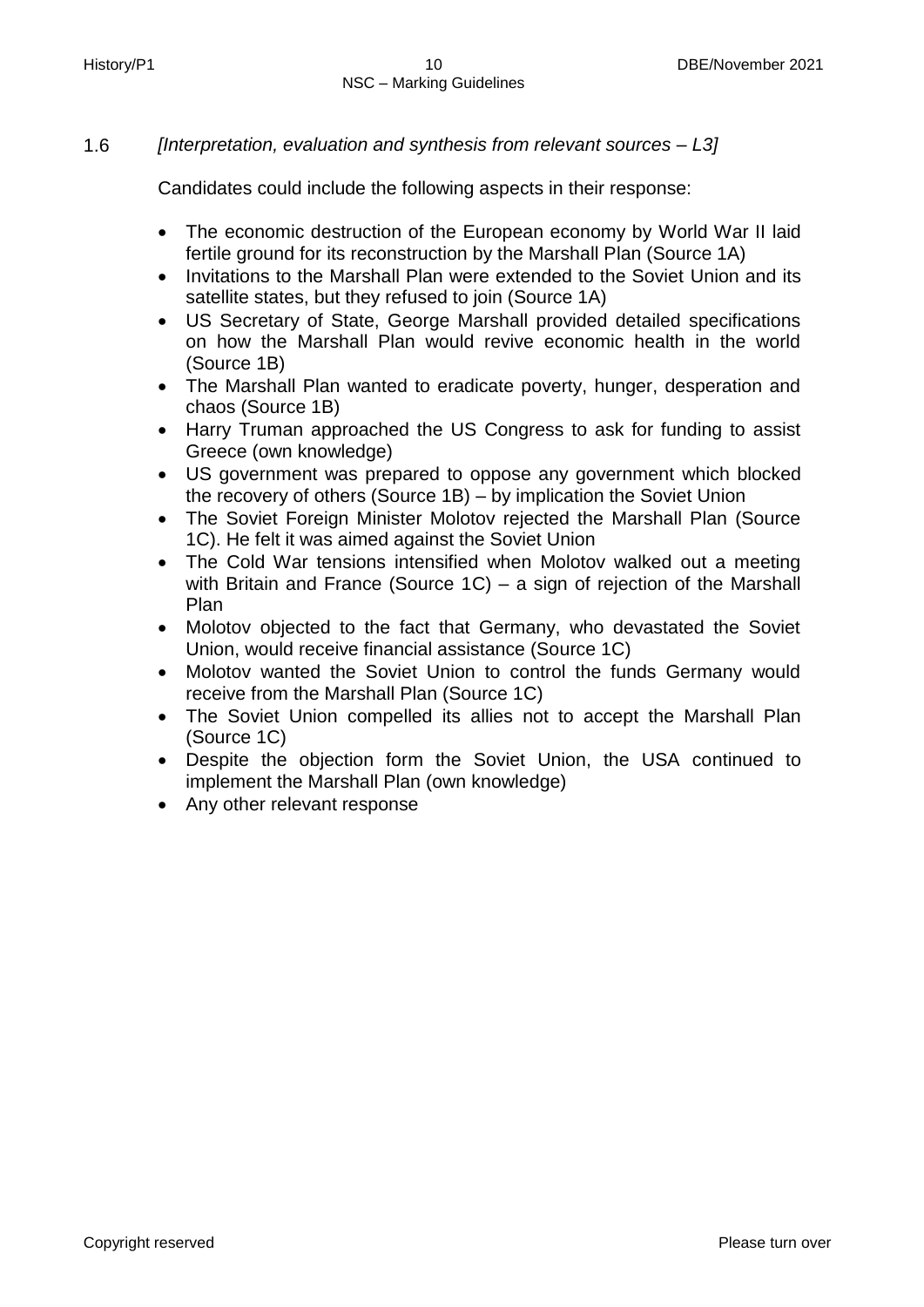# 1.6 *[Interpretation, evaluation and synthesis from relevant sources – L3]*

Candidates could include the following aspects in their response:

- The economic destruction of the European economy by World War II laid fertile ground for its reconstruction by the Marshall Plan (Source 1A)
- Invitations to the Marshall Plan were extended to the Soviet Union and its satellite states, but they refused to join (Source 1A)
- US Secretary of State, George Marshall provided detailed specifications on how the Marshall Plan would revive economic health in the world (Source 1B)
- The Marshall Plan wanted to eradicate poverty, hunger, desperation and chaos (Source 1B)
- Harry Truman approached the US Congress to ask for funding to assist Greece (own knowledge)
- US government was prepared to oppose any government which blocked the recovery of others (Source 1B) – by implication the Soviet Union
- The Soviet Foreign Minister Molotov rejected the Marshall Plan (Source 1C). He felt it was aimed against the Soviet Union
- The Cold War tensions intensified when Molotov walked out a meeting with Britain and France (Source 1C) – a sign of rejection of the Marshall Plan
- Molotov objected to the fact that Germany, who devastated the Soviet Union, would receive financial assistance (Source 1C)
- Molotov wanted the Soviet Union to control the funds Germany would receive from the Marshall Plan (Source 1C)
- The Soviet Union compelled its allies not to accept the Marshall Plan (Source 1C)
- Despite the objection form the Soviet Union, the USA continued to implement the Marshall Plan (own knowledge)
- Any other relevant response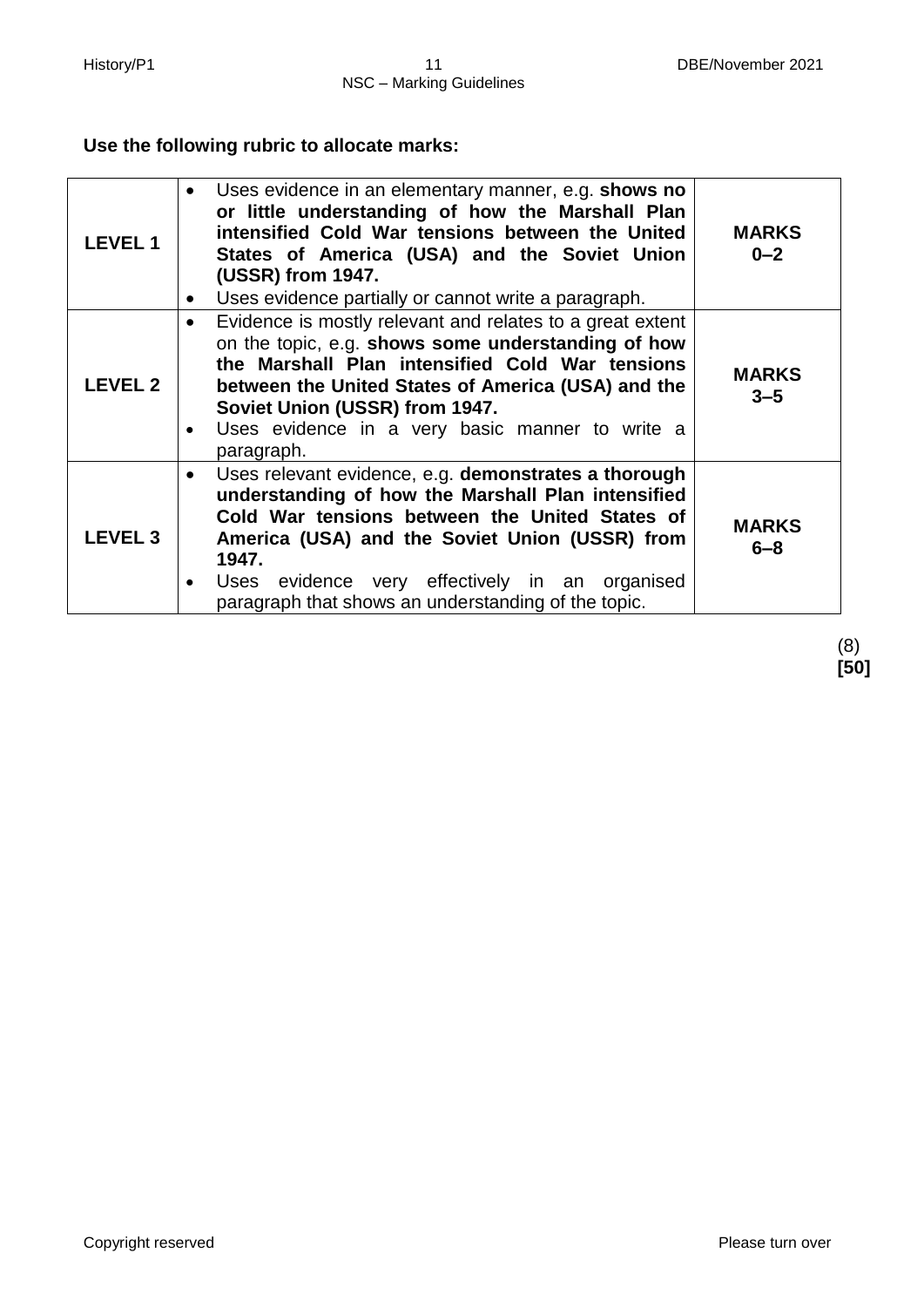# **Use the following rubric to allocate marks:**

| <b>LEVEL1</b>  | Uses evidence in an elementary manner, e.g. shows no<br>or little understanding of how the Marshall Plan<br>intensified Cold War tensions between the United<br>States of America (USA) and the Soviet Union<br>(USSR) from 1947.<br>Uses evidence partially or cannot write a paragraph.<br>$\bullet$                                   | <b>MARKS</b><br>$0 - 2$ |
|----------------|------------------------------------------------------------------------------------------------------------------------------------------------------------------------------------------------------------------------------------------------------------------------------------------------------------------------------------------|-------------------------|
| <b>LEVEL 2</b> | Evidence is mostly relevant and relates to a great extent<br>$\bullet$<br>on the topic, e.g. shows some understanding of how<br>the Marshall Plan intensified Cold War tensions<br>between the United States of America (USA) and the<br>Soviet Union (USSR) from 1947.<br>Uses evidence in a very basic manner to write a<br>paragraph. | <b>MARKS</b><br>$3 - 5$ |
| <b>LEVEL 3</b> | Uses relevant evidence, e.g. demonstrates a thorough<br>understanding of how the Marshall Plan intensified<br>Cold War tensions between the United States of<br>America (USA) and the Soviet Union (USSR) from<br>1947.<br>Uses evidence very effectively in an organised<br>paragraph that shows an understanding of the topic.         | <b>MARKS</b><br>$6 - 8$ |

(8) **[50]**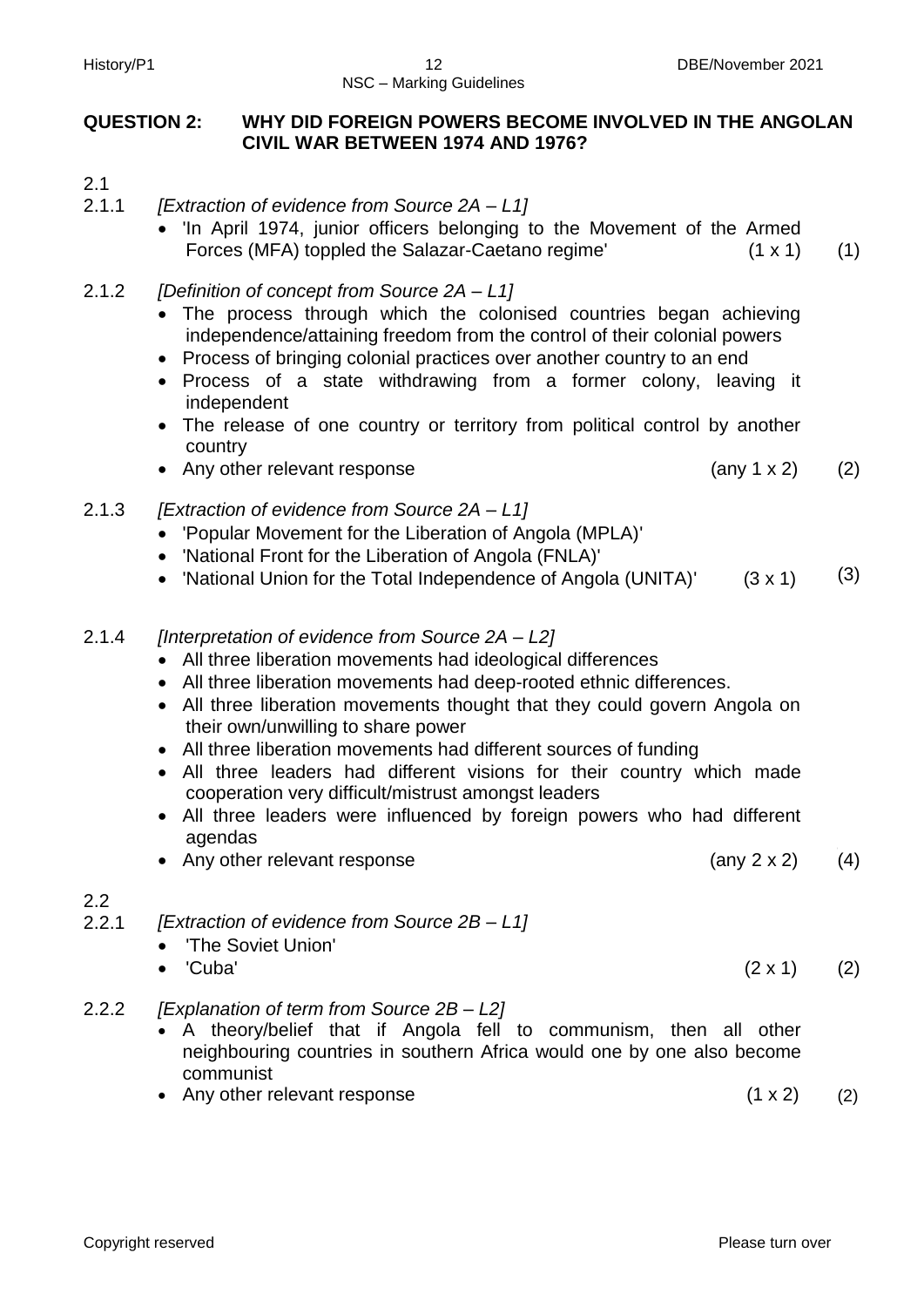# NSC – Marking Guidelines

# **QUESTION 2: WHY DID FOREIGN POWERS BECOME INVOLVED IN THE ANGOLAN CIVIL WAR BETWEEN 1974 AND 1976?**

- 2.1
- 2.1.1 *[Extraction of evidence from Source 2A – L1]*
	- 'In April 1974, junior officers belonging to the Movement of the Armed Forces (MFA) toppled the Salazar-Caetano regime' (1 x 1) (1)
- 2.1.2 *[Definition of concept from Source 2A – L1]* 
	- The process through which the colonised countries began achieving independence/attaining freedom from the control of their colonial powers
	- Process of bringing colonial practices over another country to an end
	- Process of a state withdrawing from a former colony, leaving it independent
	- The release of one country or territory from political control by another country
	- Any other relevant response (any 1 x 2) (2)
- 2.1.3 *[Extraction of evidence from Source 2A – L1]*
	- 'Popular Movement for the Liberation of Angola (MPLA)'
	- 'National Front for the Liberation of Angola (FNLA)'
	- 'National Union for the Total Independence of Angola (UNITA)'  $(3 \times 1)$   $(3)$
- 2.1.4 *[Interpretation of evidence from Source 2A – L2]*
	- All three liberation movements had ideological differences
	- All three liberation movements had deep-rooted ethnic differences.
	- All three liberation movements thought that they could govern Angola on their own/unwilling to share power
	- All three liberation movements had different sources of funding
	- All three leaders had different visions for their country which made cooperation very difficult/mistrust amongst leaders
	- All three leaders were influenced by foreign powers who had different agendas
	- Any other relevant response (any 2 x 2)

# 2.2

2.2.1 *[Extraction of evidence from Source 2B – L1]* 

- 'The Soviet Union'
- 'Cuba'  $(2 \times 1)$   $(2)$
- 2.2.2 *[Explanation of term from Source 2B – L2]*
	- A theory/belief that if Angola fell to communism, then all other neighbouring countries in southern Africa would one by one also become communist
	- Any other relevant response (1 x 2) (2)

(4)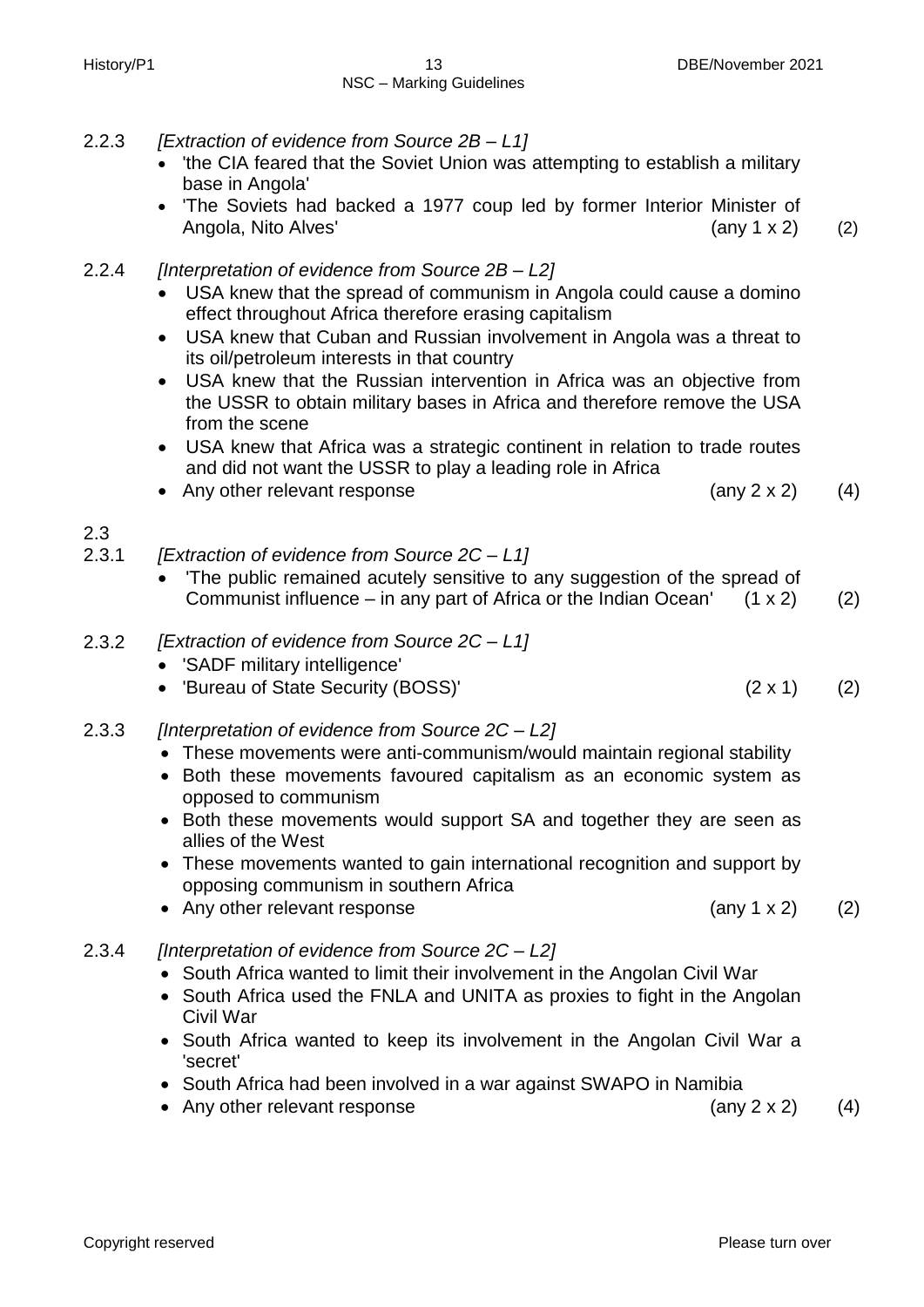- 2.2.3 *[Extraction of evidence from Source 2B – L1]*
	- 'the CIA feared that the Soviet Union was attempting to establish a military base in Angola'
	- 'The Soviets had backed a 1977 coup led by former Interior Minister of Angola, Nito Alves' (2) (2)
- 2.2.4 *[Interpretation of evidence from Source 2B – L2]* 
	- USA knew that the spread of communism in Angola could cause a domino effect throughout Africa therefore erasing capitalism
	- USA knew that Cuban and Russian involvement in Angola was a threat to its oil/petroleum interests in that country
	- USA knew that the Russian intervention in Africa was an objective from the USSR to obtain military bases in Africa and therefore remove the USA from the scene
	- USA knew that Africa was a strategic continent in relation to trade routes and did not want the USSR to play a leading role in Africa
	- Any other relevant response (any 2 x 2) (4)
- 2.3
- 2.3.1 *[Extraction of evidence from Source 2C – L1]*
	- The public remained acutely sensitive to any suggestion of the spread of Communist influence – in any part of Africa or the Indian Ocean'  $(1 \times 2)$  (2)
- 2.3.2 *[Extraction of evidence from Source 2C – L1]*
	- 'SADF military intelligence'
	- 'Bureau of State Security (BOSS)' (2 x 1) (2)
- 2.3.3 *[Interpretation of evidence from Source 2C – L2]*
	- These movements were anti-communism/would maintain regional stability
	- Both these movements favoured capitalism as an economic system as opposed to communism
	- Both these movements would support SA and together they are seen as allies of the West
	- These movements wanted to gain international recognition and support by opposing communism in southern Africa
	- Any other relevant response (any 1 x 2) (2)
- 2.3.4 *[Interpretation of evidence from Source 2C – L2]*
	- South Africa wanted to limit their involvement in the Angolan Civil War
	- South Africa used the FNLA and UNITA as proxies to fight in the Angolan Civil War
	- South Africa wanted to keep its involvement in the Angolan Civil War a 'secret'
	- South Africa had been involved in a war against SWAPO in Namibia
	- Any other relevant response (any 2 x 2) (4)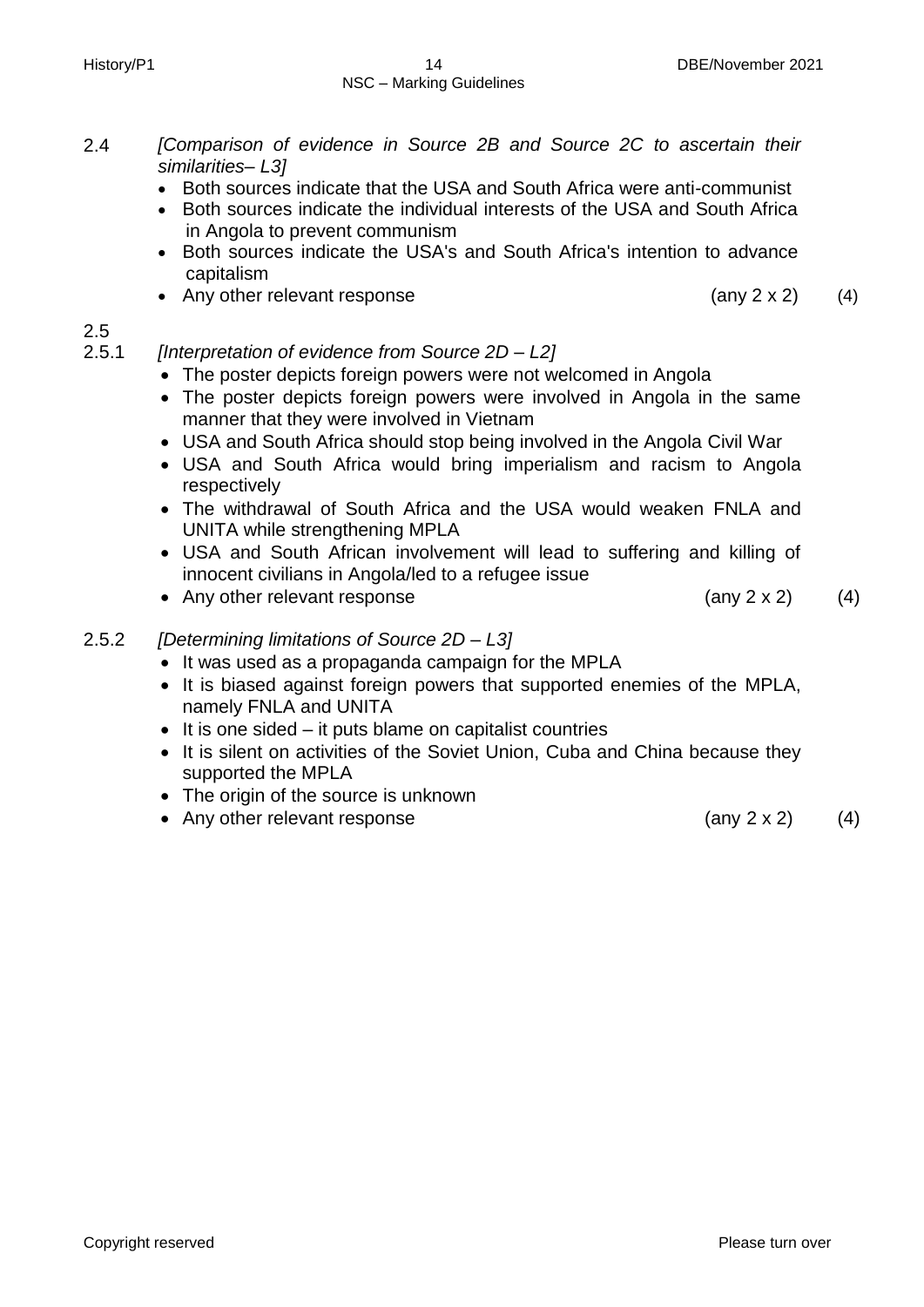- 2.4 *[Comparison of evidence in Source 2B and Source 2C to ascertain their similarities– L3]*
	- Both sources indicate that the USA and South Africa were anti-communist
	- Both sources indicate the individual interests of the USA and South Africa in Angola to prevent communism
	- Both sources indicate the USA's and South Africa's intention to advance capitalism
	- Any other relevant response  $(4)$

# 2.5

2.5.1 *[Interpretation of evidence from Source 2D – L2]*

- The poster depicts foreign powers were not welcomed in Angola
- The poster depicts foreign powers were involved in Angola in the same manner that they were involved in Vietnam
- USA and South Africa should stop being involved in the Angola Civil War
- USA and South Africa would bring imperialism and racism to Angola respectively
- The withdrawal of South Africa and the USA would weaken FNLA and UNITA while strengthening MPLA
- USA and South African involvement will lead to suffering and killing of innocent civilians in Angola/led to a refugee issue
- Any other relevant response  $(4)$

# 2.5.2 *[Determining limitations of Source 2D – L3]*

- It was used as a propaganda campaign for the MPLA
- It is biased against foreign powers that supported enemies of the MPLA, namely FNLA and UNITA
- $\bullet$  It is one sided it puts blame on capitalist countries
- It is silent on activities of the Soviet Union, Cuba and China because they supported the MPLA
- The origin of the source is unknown
- Any other relevant response (any 2 x 2) (4)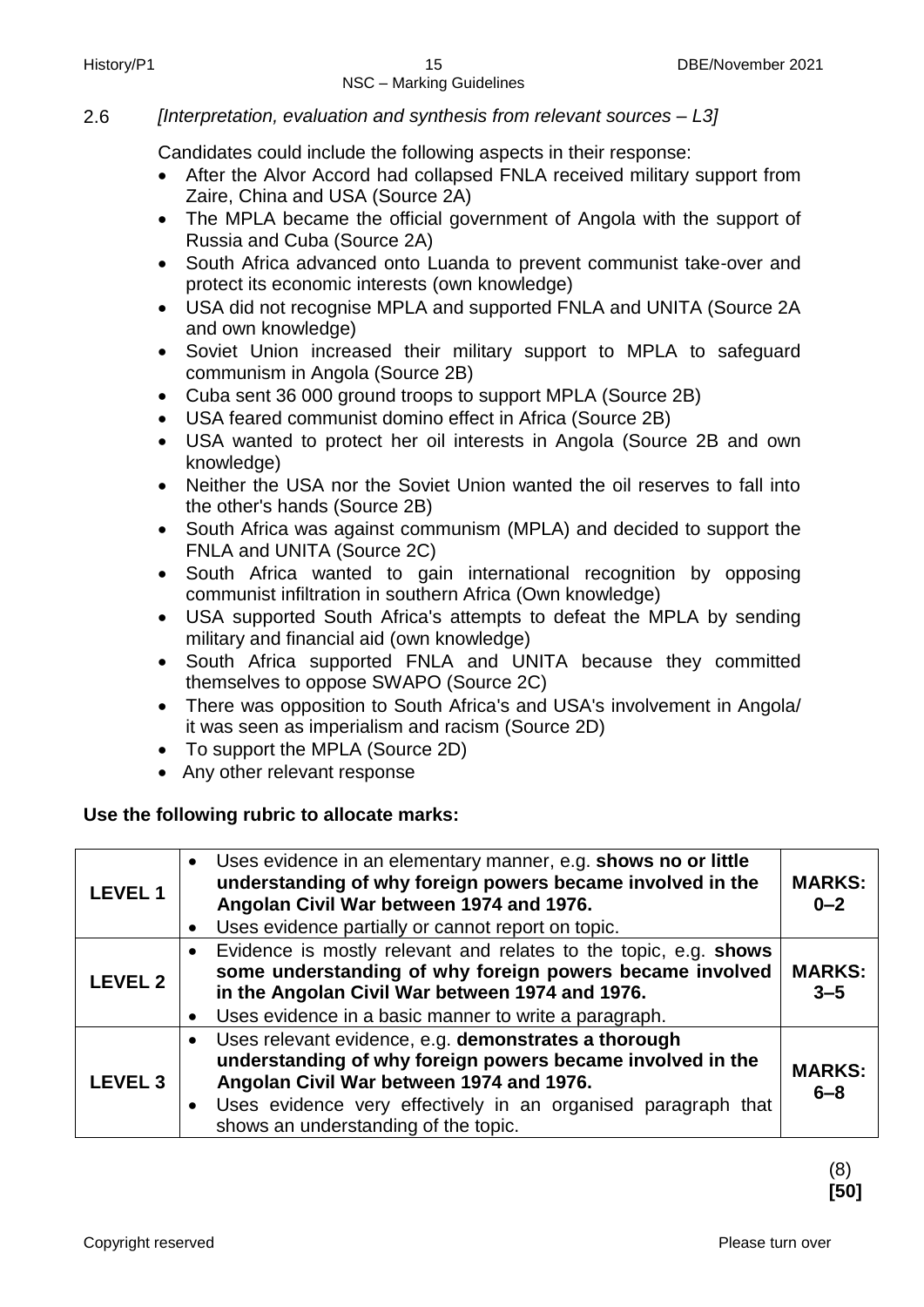# 2.6 *[Interpretation, evaluation and synthesis from relevant sources – L3]*

Candidates could include the following aspects in their response:

- After the Alvor Accord had collapsed FNLA received military support from Zaire, China and USA (Source 2A)
- The MPLA became the official government of Angola with the support of Russia and Cuba (Source 2A)
- South Africa advanced onto Luanda to prevent communist take-over and protect its economic interests (own knowledge)
- USA did not recognise MPLA and supported FNLA and UNITA (Source 2A and own knowledge)
- Soviet Union increased their military support to MPLA to safeguard communism in Angola (Source 2B)
- Cuba sent 36 000 ground troops to support MPLA (Source 2B)
- USA feared communist domino effect in Africa (Source 2B)
- USA wanted to protect her oil interests in Angola (Source 2B and own knowledge)
- Neither the USA nor the Soviet Union wanted the oil reserves to fall into the other's hands (Source 2B)
- South Africa was against communism (MPLA) and decided to support the FNLA and UNITA (Source 2C)
- South Africa wanted to gain international recognition by opposing communist infiltration in southern Africa (Own knowledge)
- USA supported South Africa's attempts to defeat the MPLA by sending military and financial aid (own knowledge)
- South Africa supported FNLA and UNITA because they committed themselves to oppose SWAPO (Source 2C)
- There was opposition to South Africa's and USA's involvement in Angola/ it was seen as imperialism and racism (Source 2D)
- To support the MPLA (Source 2D)
- Any other relevant response

# **Use the following rubric to allocate marks:**

| LEVEL 1        | • Uses evidence in an elementary manner, e.g. shows no or little<br>understanding of why foreign powers became involved in the<br>Angolan Civil War between 1974 and 1976.<br>Uses evidence partially or cannot report on topic.                                          | <b>MARKS:</b><br>$0 - 2$ |
|----------------|---------------------------------------------------------------------------------------------------------------------------------------------------------------------------------------------------------------------------------------------------------------------------|--------------------------|
| <b>LEVEL 2</b> | Evidence is mostly relevant and relates to the topic, e.g. shows<br>some understanding of why foreign powers became involved<br>in the Angolan Civil War between 1974 and 1976.<br>Uses evidence in a basic manner to write a paragraph.                                  | <b>MARKS:</b><br>$3 - 5$ |
| <b>LEVEL 3</b> | Uses relevant evidence, e.g. demonstrates a thorough<br>understanding of why foreign powers became involved in the<br>Angolan Civil War between 1974 and 1976.<br>• Uses evidence very effectively in an organised paragraph that<br>shows an understanding of the topic. | <b>MARKS:</b><br>$6 - 8$ |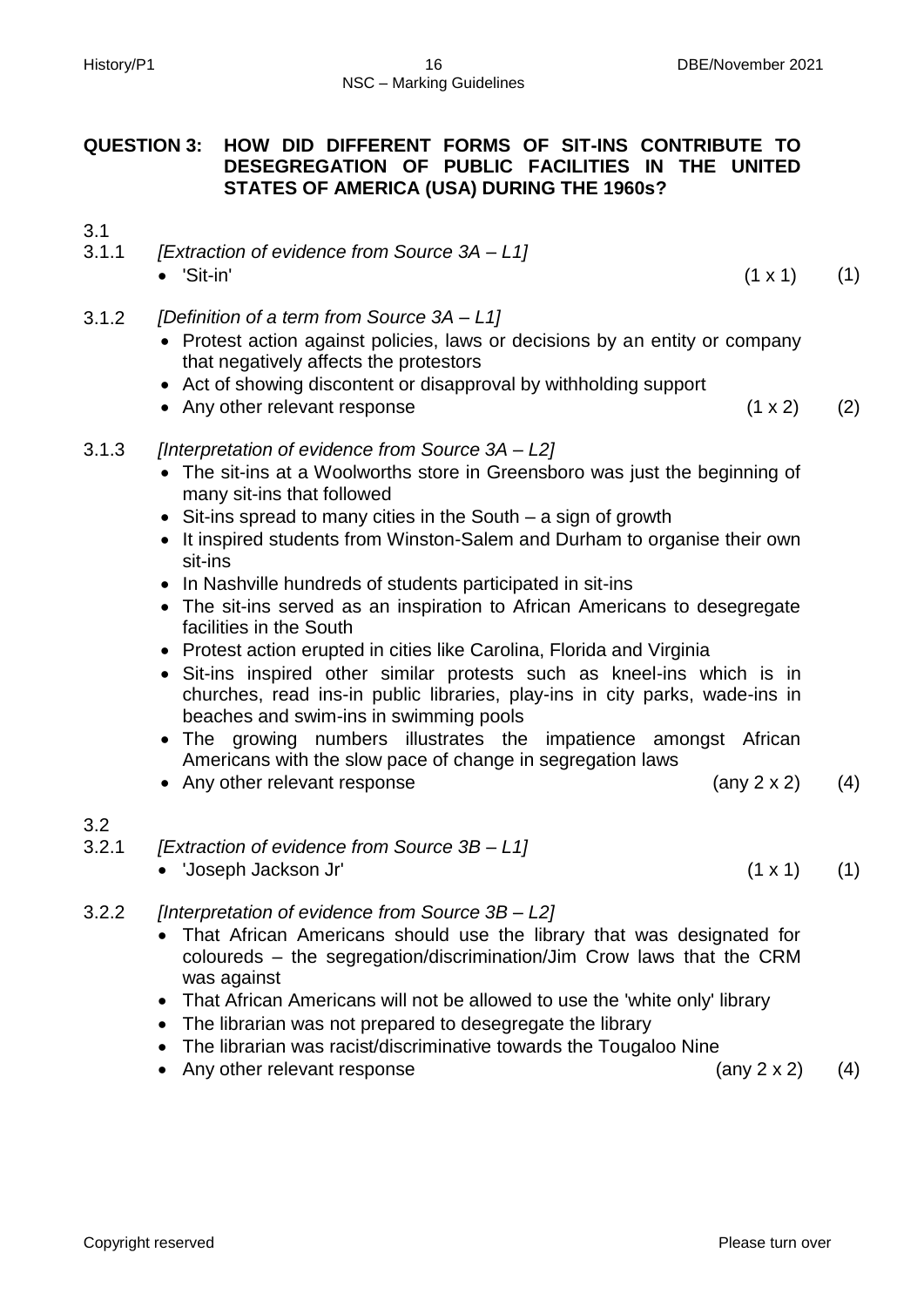# **QUESTION 3: HOW DID DIFFERENT FORMS OF SIT-INS CONTRIBUTE TO DESEGREGATION OF PUBLIC FACILITIES IN THE UNITED STATES OF AMERICA (USA) DURING THE 1960s?**

3.1

- 3.1.1 *[Extraction of evidence from Source 3A – L1]*
	- $'\sin'$  (1 x 1) (1)
- 3.1.2 *[Definition of a term from Source 3A – L1]*
	- Protest action against policies, laws or decisions by an entity or company that negatively affects the protestors
	- Act of showing discontent or disapproval by withholding support
	- Any other relevant response (1 x 2) (2)

# 3.1.3 *[Interpretation of evidence from Source 3A – L2]*

- The sit-ins at a Woolworths store in Greensboro was just the beginning of many sit-ins that followed
- Sit-ins spread to many cities in the South a sign of growth
- It inspired students from Winston-Salem and Durham to organise their own sit-ins
- In Nashville hundreds of students participated in sit-ins
- The sit-ins served as an inspiration to African Americans to desegregate facilities in the South
- Protest action erupted in cities like Carolina, Florida and Virginia
- Sit-ins inspired other similar protests such as kneel-ins which is in churches, read ins-in public libraries, play-ins in city parks, wade-ins in beaches and swim-ins in swimming pools
- The growing numbers illustrates the impatience amongst African Americans with the slow pace of change in segregation laws
- Any other relevant response (any 2 x 2) (4)

# 3.2

- 3.2.1 *[Extraction of evidence from Source 3B – L1]*
	- 'Joseph Jackson Jr' (1 x 1) (1)
- 3.2.2 *[Interpretation of evidence from Source 3B – L2]*
	- That African Americans should use the library that was designated for coloureds – the segregation/discrimination/Jim Crow laws that the CRM was against
	- That African Americans will not be allowed to use the 'white only' library
	- The librarian was not prepared to desegregate the library
	- The librarian was racist/discriminative towards the Tougaloo Nine
	- Any other relevant response (any 2 x 2) (4)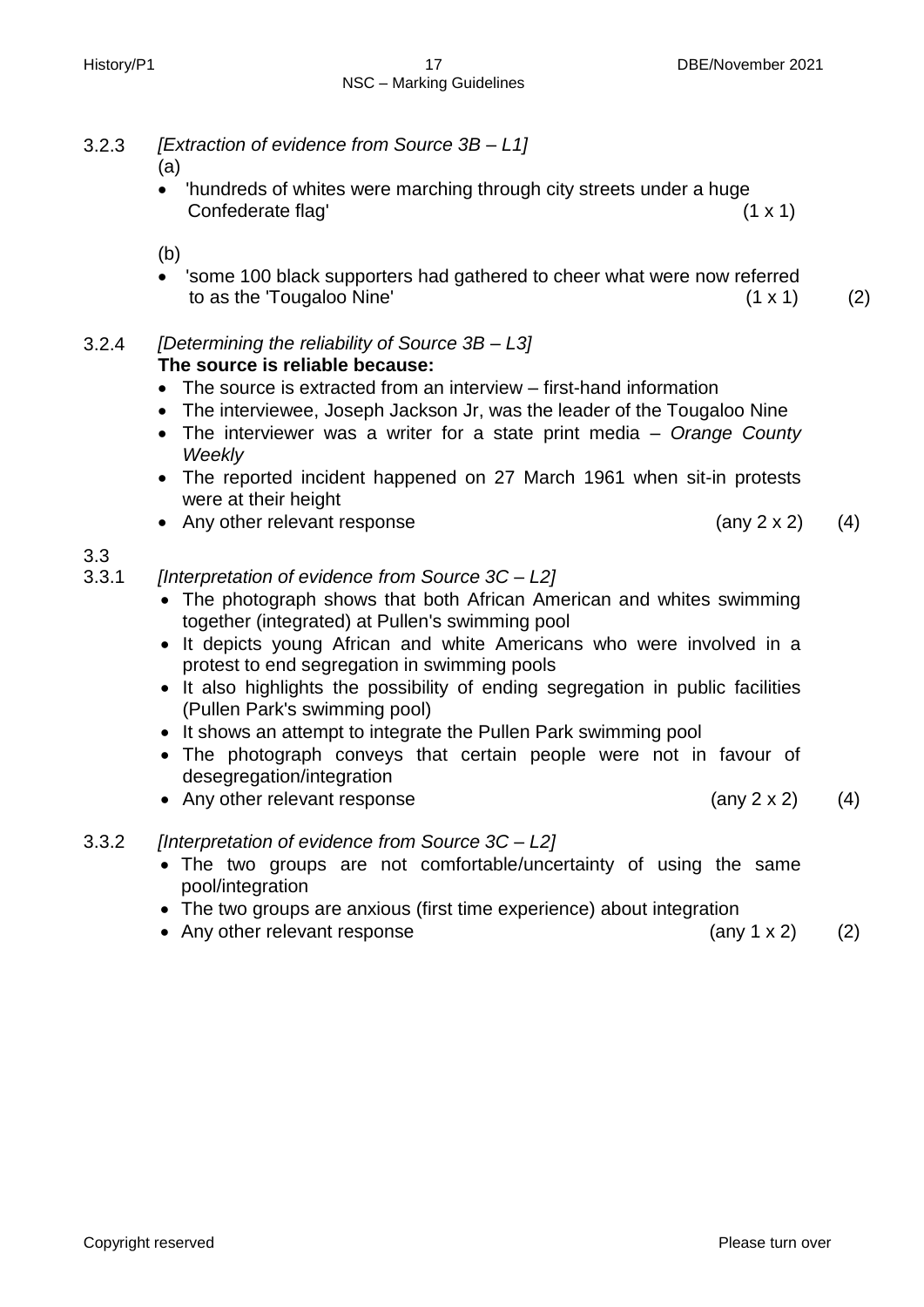- 3.2.3 *[Extraction of evidence from Source 3B – L1]*
	- (a)
	- 'hundreds of whites were marching through city streets under a huge Confederate flag' (1 x 1)

(b)

 'some 100 black supporters had gathered to cheer what were now referred to as the 'Tougaloo Nine'  $(1 \times 1)$  (2)

3.2.4 *[Determining the reliability of Source 3B – L3]* **The source is reliable because:**

- The source is extracted from an interview first-hand information
- The interviewee, Joseph Jackson Jr, was the leader of the Tougaloo Nine
- The interviewer was a writer for a state print media *Orange County Weekly*
- The reported incident happened on 27 March 1961 when sit-in protests were at their height
- Any other relevant response (any 2 x 2) (4)

3.3

- 3.3.1 *[Interpretation of evidence from Source 3C – L2]*
	- The photograph shows that both African American and whites swimming together (integrated) at Pullen's swimming pool
	- It depicts young African and white Americans who were involved in a protest to end segregation in swimming pools
	- It also highlights the possibility of ending segregation in public facilities (Pullen Park's swimming pool)
	- It shows an attempt to integrate the Pullen Park swimming pool
	- The photograph conveys that certain people were not in favour of desegregation/integration
	- Any other relevant response (any 2 x 2) (4)
- 3.3.2 *[Interpretation of evidence from Source 3C – L2]*
	- The two groups are not comfortable/uncertainty of using the same pool/integration
	- The two groups are anxious (first time experience) about integration
	- Any other relevant response (any 1 x 2) (2)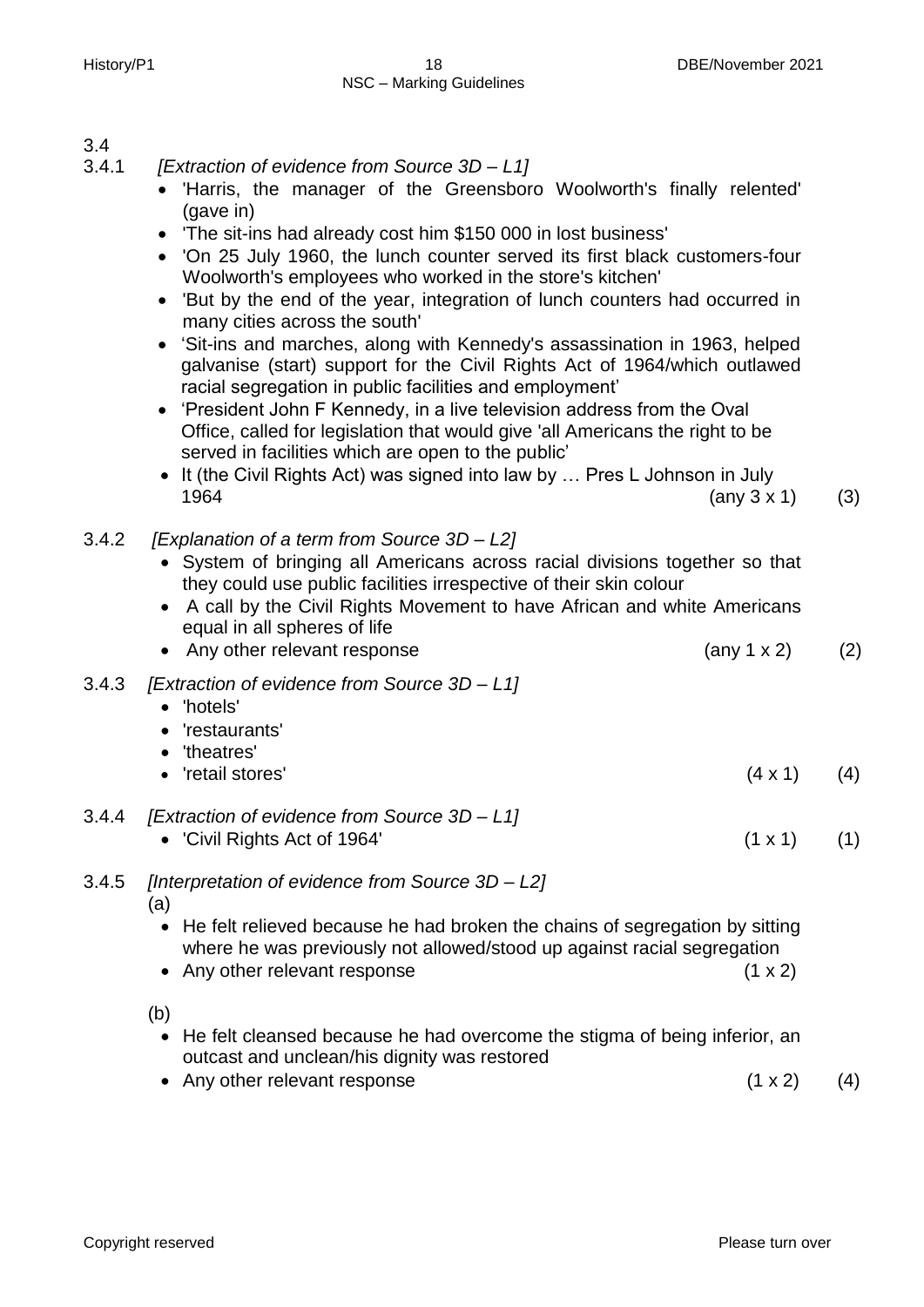# 3.4

- 3.4.1 *[Extraction of evidence from Source 3D – L1]*
	- 'Harris, the manager of the Greensboro Woolworth's finally relented' (gave in)
	- 'The sit-ins had already cost him \$150 000 in lost business'
	- 'On 25 July 1960, the lunch counter served its first black customers-four Woolworth's employees who worked in the store's kitchen'
	- 'But by the end of the year, integration of lunch counters had occurred in many cities across the south'
	- 'Sit-ins and marches, along with Kennedy's assassination in 1963, helped galvanise (start) support for the Civil Rights Act of 1964/which outlawed racial segregation in public facilities and employment'
	- 'President John F Kennedy, in a live television address from the Oval Office, called for legislation that would give 'all Americans the right to be served in facilities which are open to the public'
	- It (the Civil Rights Act) was signed into law by ... Pres L Johnson in July 1964 (any 3 x 1) (3)
- 3.4.2 *[Explanation of a term from Source 3D – L2]*
	- System of bringing all Americans across racial divisions together so that they could use public facilities irrespective of their skin colour
	- A call by the Civil Rights Movement to have African and white Americans equal in all spheres of life
	- Any other relevant response  $(2)$
- 3.4.3 *[Extraction of evidence from Source 3D – L1]*
	- 'hotels'
	- 'restaurants'
	- 'theatres'
	- $'$ retail stores' (4 x 1) (4)
- 3.4.4 *[Extraction of evidence from Source 3D – L1]*
	- 'Civil Rights Act of 1964'  $(1 \times 1)$  (1)
- 3.4.5 *[Interpretation of evidence from Source 3D – L2]*

(a)

- He felt relieved because he had broken the chains of segregation by sitting where he was previously not allowed/stood up against racial segregation
- Any other relevant response (1 x 2)

(b)

- He felt cleansed because he had overcome the stigma of being inferior, an outcast and unclean/his dignity was restored
- Any other relevant response (1 x 2) (4)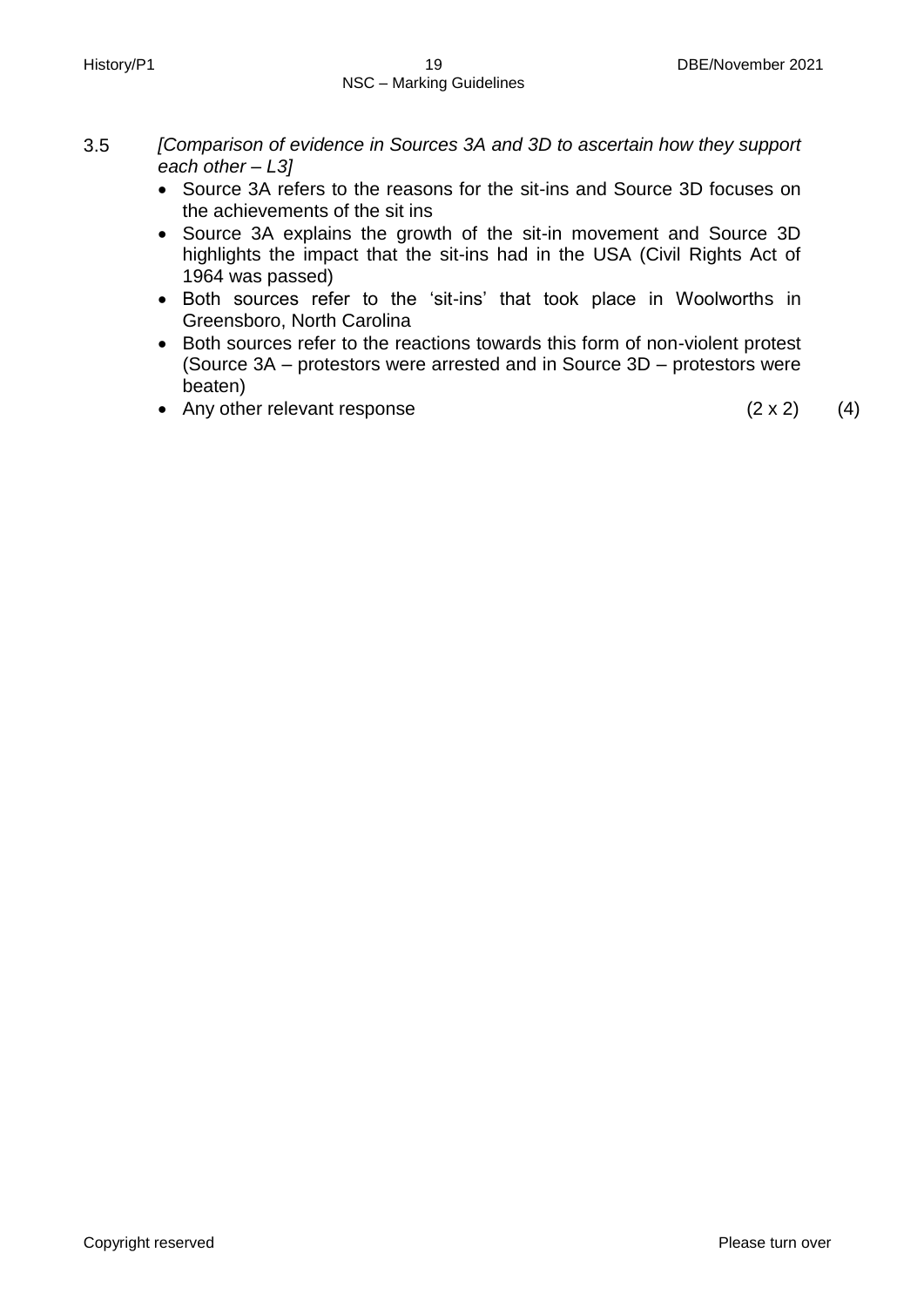- 3.5 *[Comparison of evidence in Sources 3A and 3D to ascertain how they support each other – L3]*
	- Source 3A refers to the reasons for the sit-ins and Source 3D focuses on the achievements of the sit ins
	- Source 3A explains the growth of the sit-in movement and Source 3D highlights the impact that the sit-ins had in the USA (Civil Rights Act of 1964 was passed)
	- Both sources refer to the 'sit-ins' that took place in Woolworths in Greensboro, North Carolina
	- Both sources refer to the reactions towards this form of non-violent protest (Source 3A – protestors were arrested and in Source 3D – protestors were beaten)
	- Any other relevant response  $(2 \times 2)$  (4)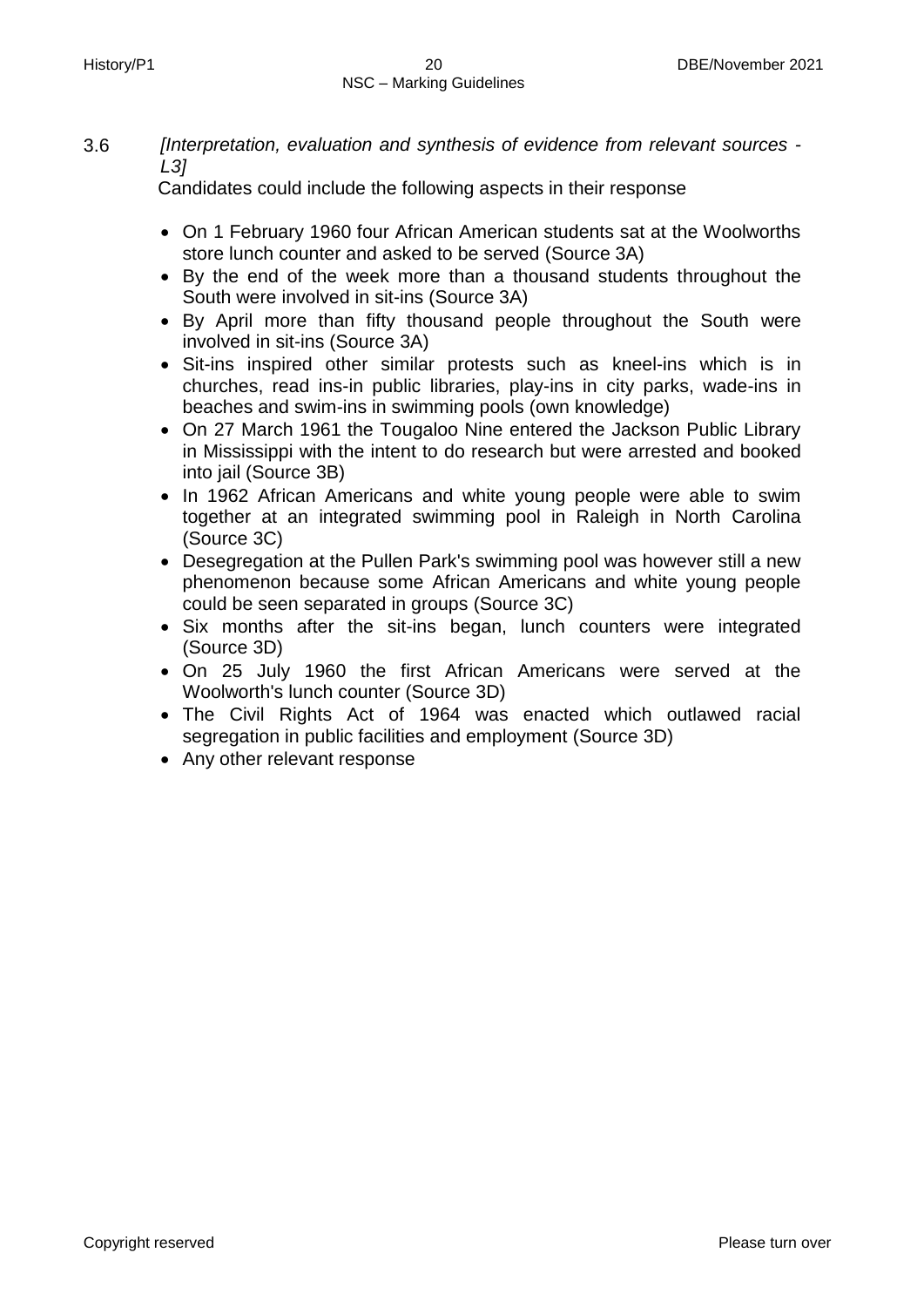3.6 *[Interpretation, evaluation and synthesis of evidence from relevant sources - L3]*

Candidates could include the following aspects in their response

- On 1 February 1960 four African American students sat at the Woolworths store lunch counter and asked to be served (Source 3A)
- By the end of the week more than a thousand students throughout the South were involved in sit-ins (Source 3A)
- By April more than fifty thousand people throughout the South were involved in sit-ins (Source 3A)
- Sit-ins inspired other similar protests such as kneel-ins which is in churches, read ins-in public libraries, play-ins in city parks, wade-ins in beaches and swim-ins in swimming pools (own knowledge)
- On 27 March 1961 the Tougaloo Nine entered the Jackson Public Library in Mississippi with the intent to do research but were arrested and booked into jail (Source 3B)
- In 1962 African Americans and white young people were able to swim together at an integrated swimming pool in Raleigh in North Carolina (Source 3C)
- Desegregation at the Pullen Park's swimming pool was however still a new phenomenon because some African Americans and white young people could be seen separated in groups (Source 3C)
- Six months after the sit-ins began, lunch counters were integrated (Source 3D)
- On 25 July 1960 the first African Americans were served at the Woolworth's lunch counter (Source 3D)
- The Civil Rights Act of 1964 was enacted which outlawed racial segregation in public facilities and employment (Source 3D)
- Any other relevant response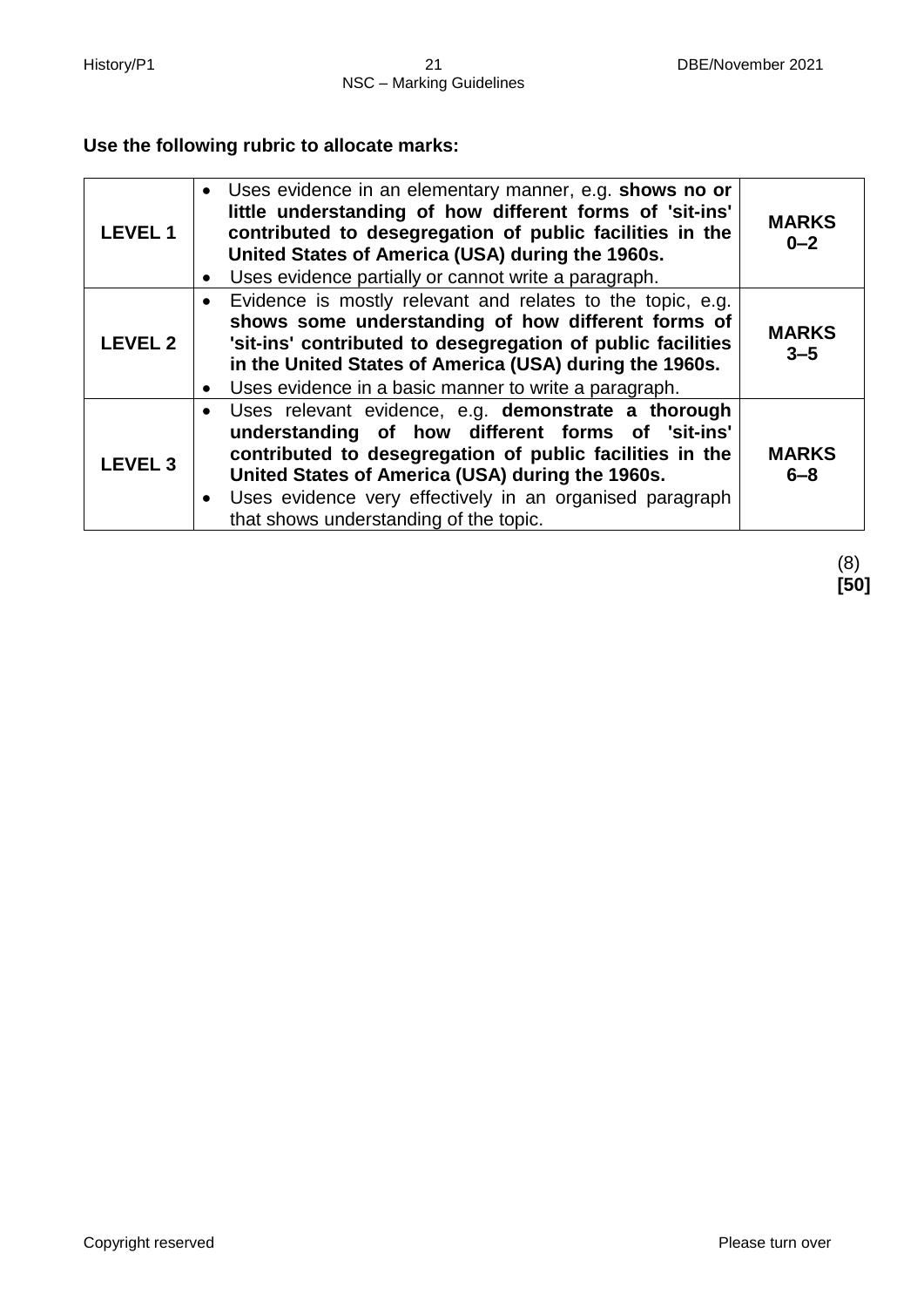# **Use the following rubric to allocate marks:**

| <b>LEVEL 1</b> | • Uses evidence in an elementary manner, e.g. shows no or<br>little understanding of how different forms of 'sit-ins'<br>contributed to desegregation of public facilities in the<br>United States of America (USA) during the 1960s.<br>Uses evidence partially or cannot write a paragraph.                                    | <b>MARKS</b><br>$0 - 2$ |
|----------------|----------------------------------------------------------------------------------------------------------------------------------------------------------------------------------------------------------------------------------------------------------------------------------------------------------------------------------|-------------------------|
| <b>LEVEL 2</b> | Evidence is mostly relevant and relates to the topic, e.g.<br>$\bullet$<br>shows some understanding of how different forms of<br>'sit-ins' contributed to desegregation of public facilities<br>in the United States of America (USA) during the 1960s.<br>Uses evidence in a basic manner to write a paragraph.                 | <b>MARKS</b><br>$3 - 5$ |
| <b>LEVEL 3</b> | Uses relevant evidence, e.g. demonstrate a thorough<br>understanding of how different forms of 'sit-ins'<br>contributed to desegregation of public facilities in the<br>United States of America (USA) during the 1960s.<br>• Uses evidence very effectively in an organised paragraph<br>that shows understanding of the topic. | <b>MARKS</b><br>$6 - 8$ |

(8) **[50]**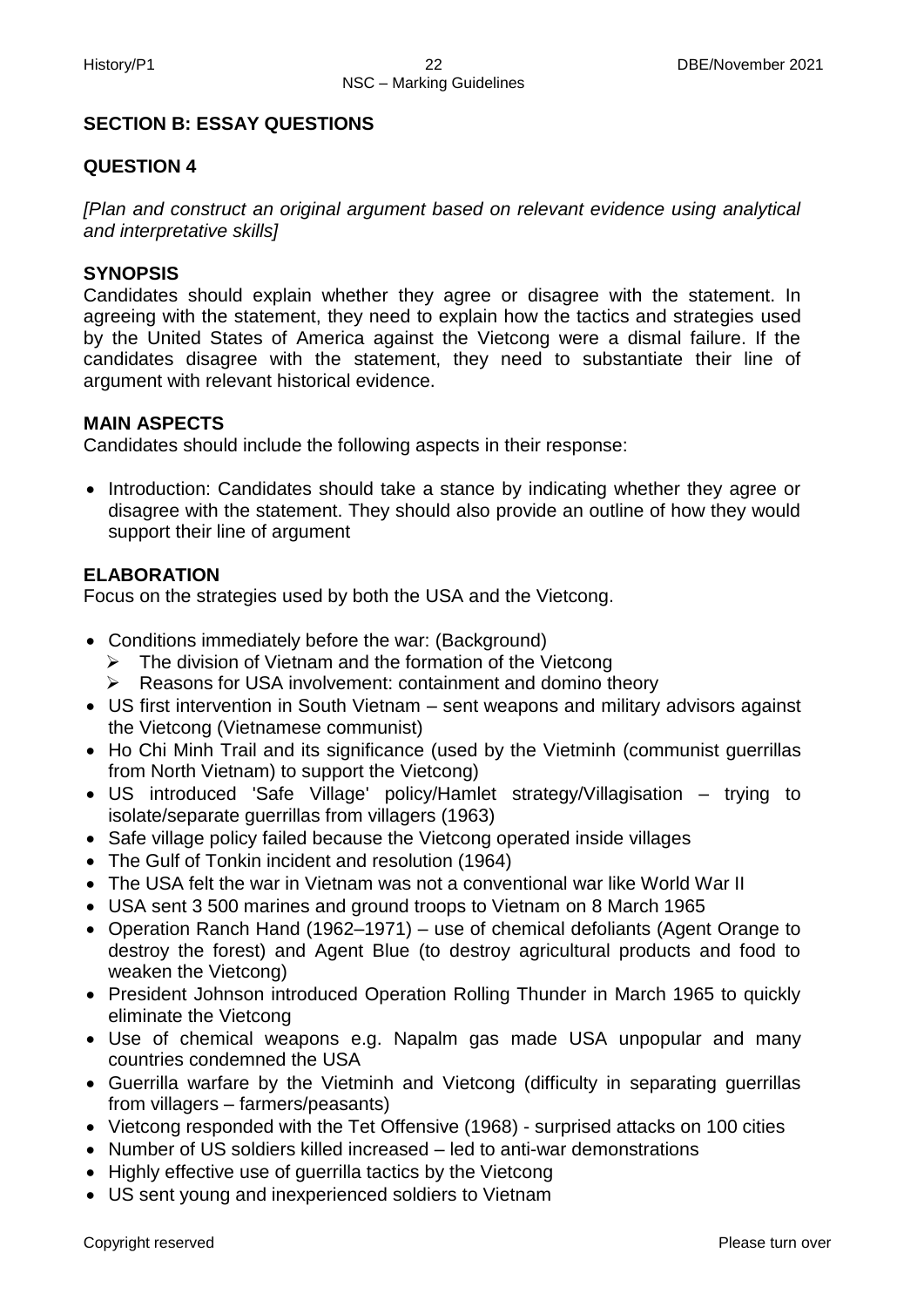# **SECTION B: ESSAY QUESTIONS**

# **QUESTION 4**

*[Plan and construct an original argument based on relevant evidence using analytical and interpretative skills]*

# **SYNOPSIS**

Candidates should explain whether they agree or disagree with the statement. In agreeing with the statement, they need to explain how the tactics and strategies used by the United States of America against the Vietcong were a dismal failure. If the candidates disagree with the statement, they need to substantiate their line of argument with relevant historical evidence.

# **MAIN ASPECTS**

Candidates should include the following aspects in their response:

• Introduction: Candidates should take a stance by indicating whether they agree or disagree with the statement. They should also provide an outline of how they would support their line of argument

# **ELABORATION**

Focus on the strategies used by both the USA and the Vietcong.

- Conditions immediately before the war: (Background)
	- $\triangleright$  The division of Vietnam and the formation of the Vietcong
	- Reasons for USA involvement: containment and domino theory
- US first intervention in South Vietnam sent weapons and military advisors against the Vietcong (Vietnamese communist)
- Ho Chi Minh Trail and its significance (used by the Vietminh (communist guerrillas from North Vietnam) to support the Vietcong)
- US introduced 'Safe Village' policy/Hamlet strategy/Villagisation trying to isolate/separate guerrillas from villagers (1963)
- Safe village policy failed because the Vietcong operated inside villages
- The Gulf of Tonkin incident and resolution (1964)
- The USA felt the war in Vietnam was not a conventional war like World War II
- USA sent 3 500 marines and ground troops to Vietnam on 8 March 1965
- Operation Ranch Hand (1962–1971) use of chemical defoliants (Agent Orange to destroy the forest) and Agent Blue (to destroy agricultural products and food to weaken the Vietcong)
- President Johnson introduced Operation Rolling Thunder in March 1965 to quickly eliminate the Vietcong
- Use of chemical weapons e.g. Napalm gas made USA unpopular and many countries condemned the USA
- Guerrilla warfare by the Vietminh and Vietcong (difficulty in separating guerrillas from villagers – farmers/peasants)
- Vietcong responded with the Tet Offensive (1968) surprised attacks on 100 cities
- Number of US soldiers killed increased led to anti-war demonstrations
- Highly effective use of querrilla tactics by the Vietcong
- US sent young and inexperienced soldiers to Vietnam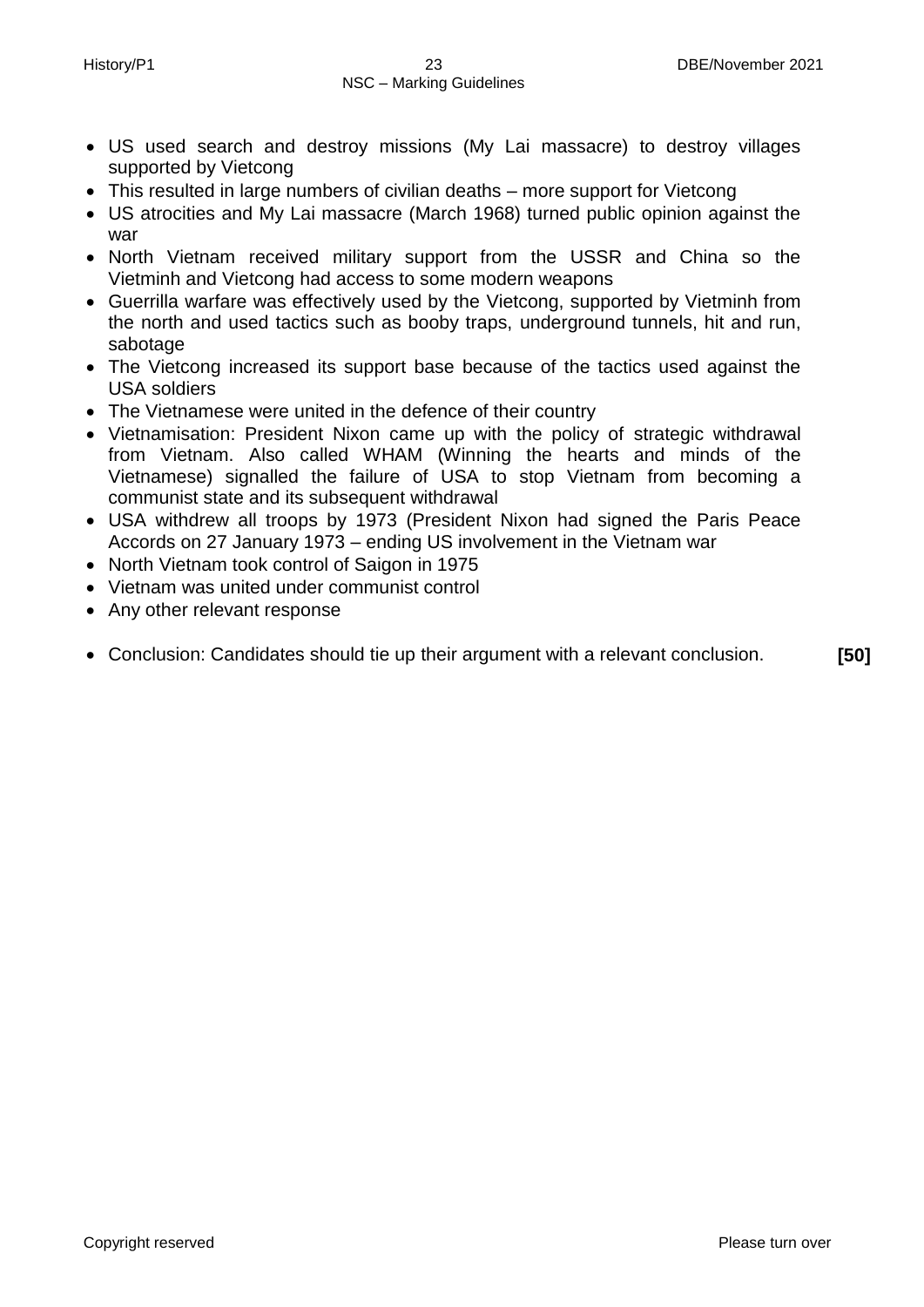- US used search and destroy missions (My Lai massacre) to destroy villages supported by Vietcong
- This resulted in large numbers of civilian deaths more support for Vietcong
- US atrocities and My Lai massacre (March 1968) turned public opinion against the war
- North Vietnam received military support from the USSR and China so the Vietminh and Vietcong had access to some modern weapons
- Guerrilla warfare was effectively used by the Vietcong, supported by Vietminh from the north and used tactics such as booby traps, underground tunnels, hit and run, sabotage
- The Vietcong increased its support base because of the tactics used against the USA soldiers
- The Vietnamese were united in the defence of their country
- Vietnamisation: President Nixon came up with the policy of strategic withdrawal from Vietnam. Also called WHAM (Winning the hearts and minds of the Vietnamese) signalled the failure of USA to stop Vietnam from becoming a communist state and its subsequent withdrawal
- USA withdrew all troops by 1973 (President Nixon had signed the Paris Peace Accords on 27 January 1973 – ending US involvement in the Vietnam war
- North Vietnam took control of Saigon in 1975
- Vietnam was united under communist control
- Any other relevant response
- Conclusion: Candidates should tie up their argument with a relevant conclusion. **[50]**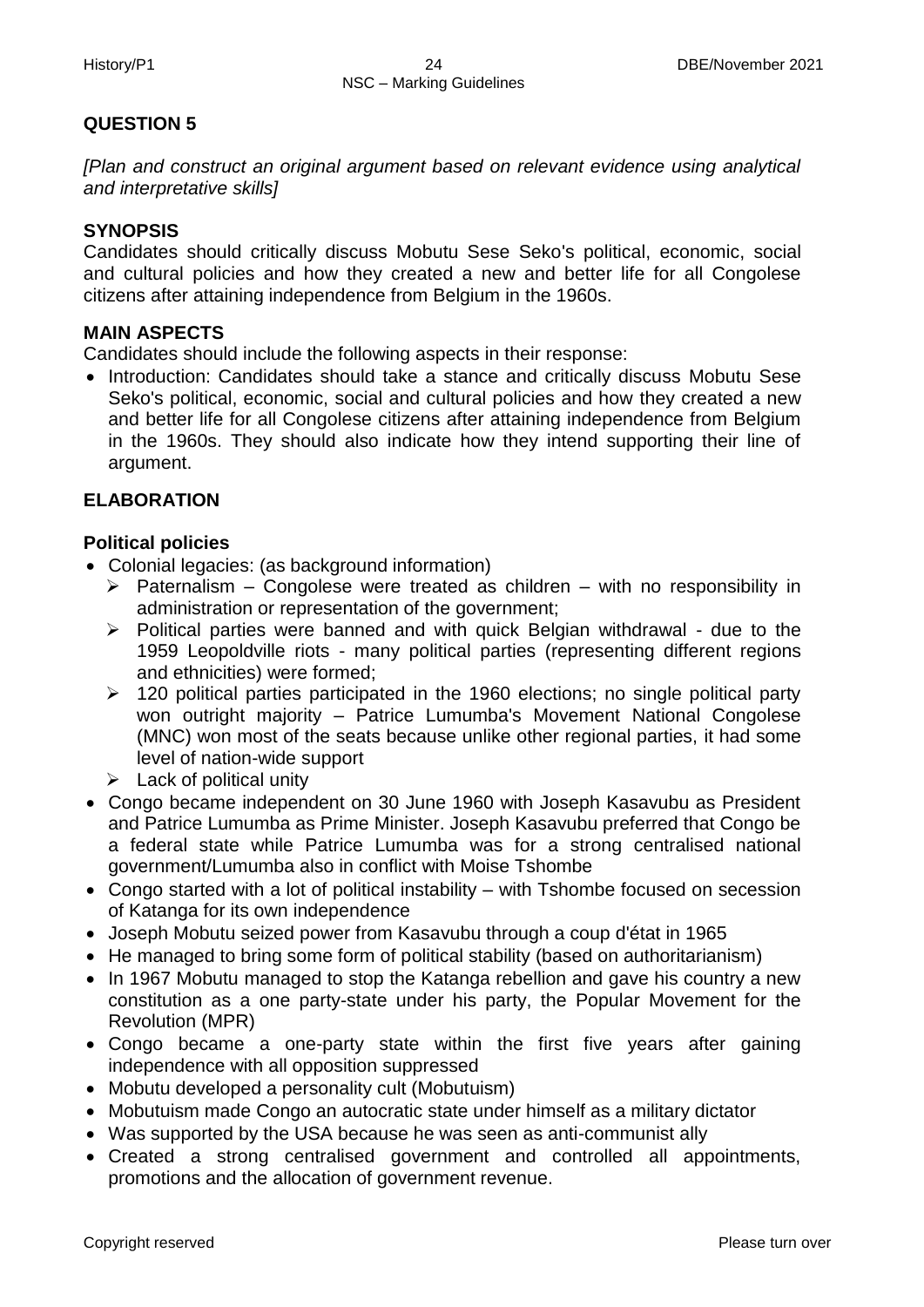# **QUESTION 5**

*[Plan and construct an original argument based on relevant evidence using analytical and interpretative skills]*

# **SYNOPSIS**

Candidates should critically discuss Mobutu Sese Seko's political, economic, social and cultural policies and how they created a new and better life for all Congolese citizens after attaining independence from Belgium in the 1960s.

# **MAIN ASPECTS**

Candidates should include the following aspects in their response:

• Introduction: Candidates should take a stance and critically discuss Mobutu Sese Seko's political, economic, social and cultural policies and how they created a new and better life for all Congolese citizens after attaining independence from Belgium in the 1960s. They should also indicate how they intend supporting their line of argument.

# **ELABORATION**

# **Political policies**

- Colonial legacies: (as background information)
	- $\triangleright$  Paternalism Congolese were treated as children with no responsibility in administration or representation of the government;
	- $\triangleright$  Political parties were banned and with quick Belgian withdrawal due to the 1959 Leopoldville riots - many political parties (representing different regions and ethnicities) were formed;
	- $\geq$  120 political parties participated in the 1960 elections; no single political party won outright majority – Patrice Lumumba's Movement National Congolese (MNC) won most of the seats because unlike other regional parties, it had some level of nation-wide support
	- $\triangleright$  Lack of political unity
- Congo became independent on 30 June 1960 with Joseph Kasavubu as President and Patrice Lumumba as Prime Minister. Joseph Kasavubu preferred that Congo be a federal state while Patrice Lumumba was for a strong centralised national government/Lumumba also in conflict with Moise Tshombe
- Congo started with a lot of political instability with Tshombe focused on secession of Katanga for its own independence
- Joseph Mobutu seized power from Kasavubu through a coup d'état in 1965
- He managed to bring some form of political stability (based on authoritarianism)
- In 1967 Mobutu managed to stop the Katanga rebellion and gave his country a new constitution as a one party-state under his party, the Popular Movement for the Revolution (MPR)
- Congo became a one-party state within the first five years after gaining independence with all opposition suppressed
- Mobutu developed a personality cult (Mobutuism)
- Mobutuism made Congo an autocratic state under himself as a military dictator
- Was supported by the USA because he was seen as anti-communist ally
- Created a strong centralised government and controlled all appointments, promotions and the allocation of government revenue.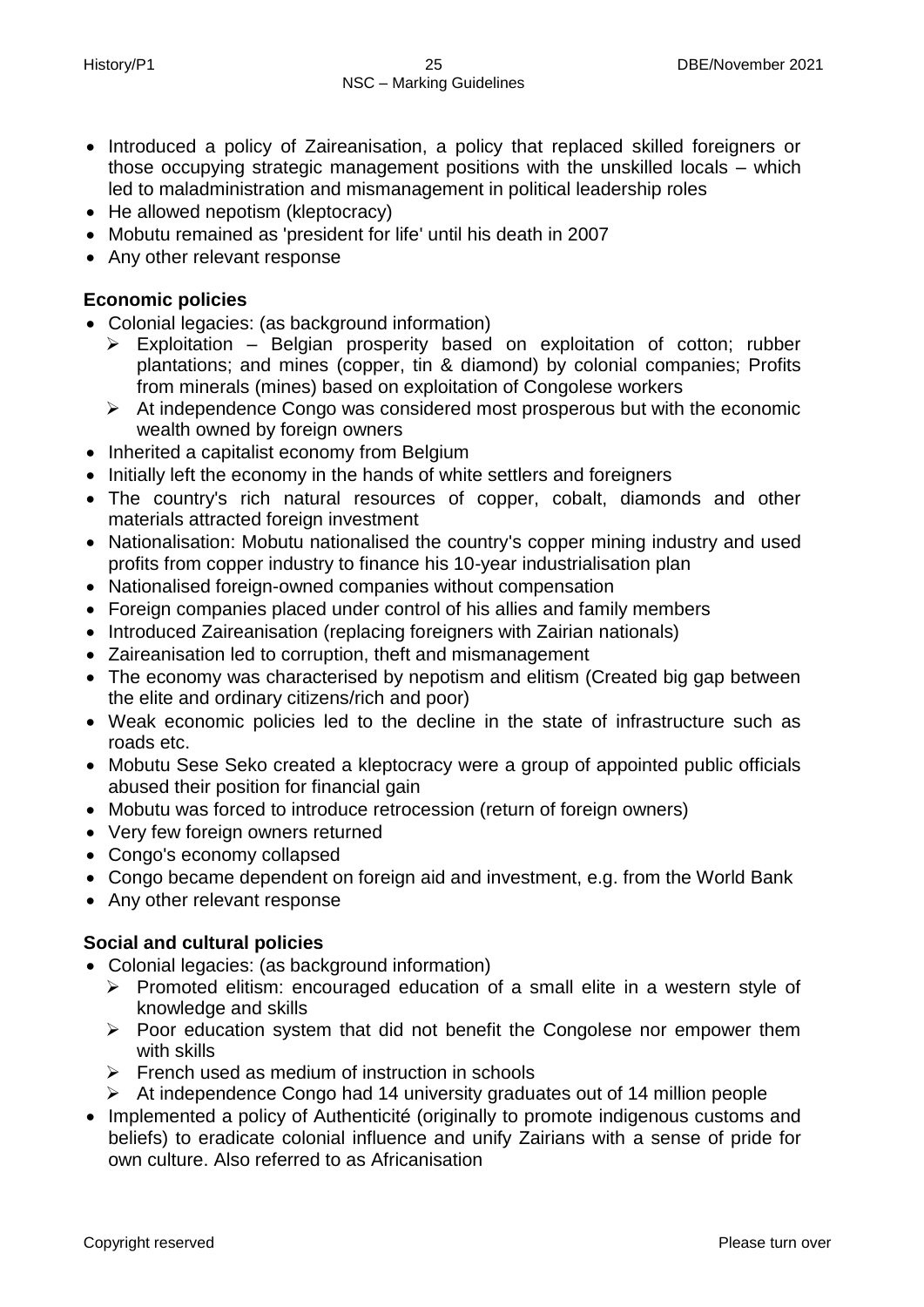- Introduced a policy of Zaireanisation, a policy that replaced skilled foreigners or those occupying strategic management positions with the unskilled locals – which led to maladministration and mismanagement in political leadership roles
- He allowed nepotism (kleptocracy)
- Mobutu remained as 'president for life' until his death in 2007
- Any other relevant response

# **Economic policies**

- Colonial legacies: (as background information)
	- Exploitation Belgian prosperity based on exploitation of cotton; rubber plantations; and mines (copper, tin & diamond) by colonial companies; Profits from minerals (mines) based on exploitation of Congolese workers
	- $\triangleright$  At independence Congo was considered most prosperous but with the economic wealth owned by foreign owners
- Inherited a capitalist economy from Belgium
- Initially left the economy in the hands of white settlers and foreigners
- The country's rich natural resources of copper, cobalt, diamonds and other materials attracted foreign investment
- Nationalisation: Mobutu nationalised the country's copper mining industry and used profits from copper industry to finance his 10-year industrialisation plan
- Nationalised foreign-owned companies without compensation
- Foreign companies placed under control of his allies and family members
- Introduced Zaireanisation (replacing foreigners with Zairian nationals)
- Zaireanisation led to corruption, theft and mismanagement
- The economy was characterised by nepotism and elitism (Created big gap between the elite and ordinary citizens/rich and poor)
- Weak economic policies led to the decline in the state of infrastructure such as roads etc.
- Mobutu Sese Seko created a kleptocracy were a group of appointed public officials abused their position for financial gain
- Mobutu was forced to introduce retrocession (return of foreign owners)
- Very few foreign owners returned
- Congo's economy collapsed
- Congo became dependent on foreign aid and investment, e.g. from the World Bank
- Any other relevant response

# **Social and cultural policies**

- Colonial legacies: (as background information)
	- $\triangleright$  Promoted elitism: encouraged education of a small elite in a western style of knowledge and skills
	- $\triangleright$  Poor education system that did not benefit the Congolese nor empower them with skills
	- $\triangleright$  French used as medium of instruction in schools
	- $\triangleright$  At independence Congo had 14 university graduates out of 14 million people
- Implemented a policy of Authenticité (originally to promote indigenous customs and beliefs) to eradicate colonial influence and unify Zairians with a sense of pride for own culture. Also referred to as Africanisation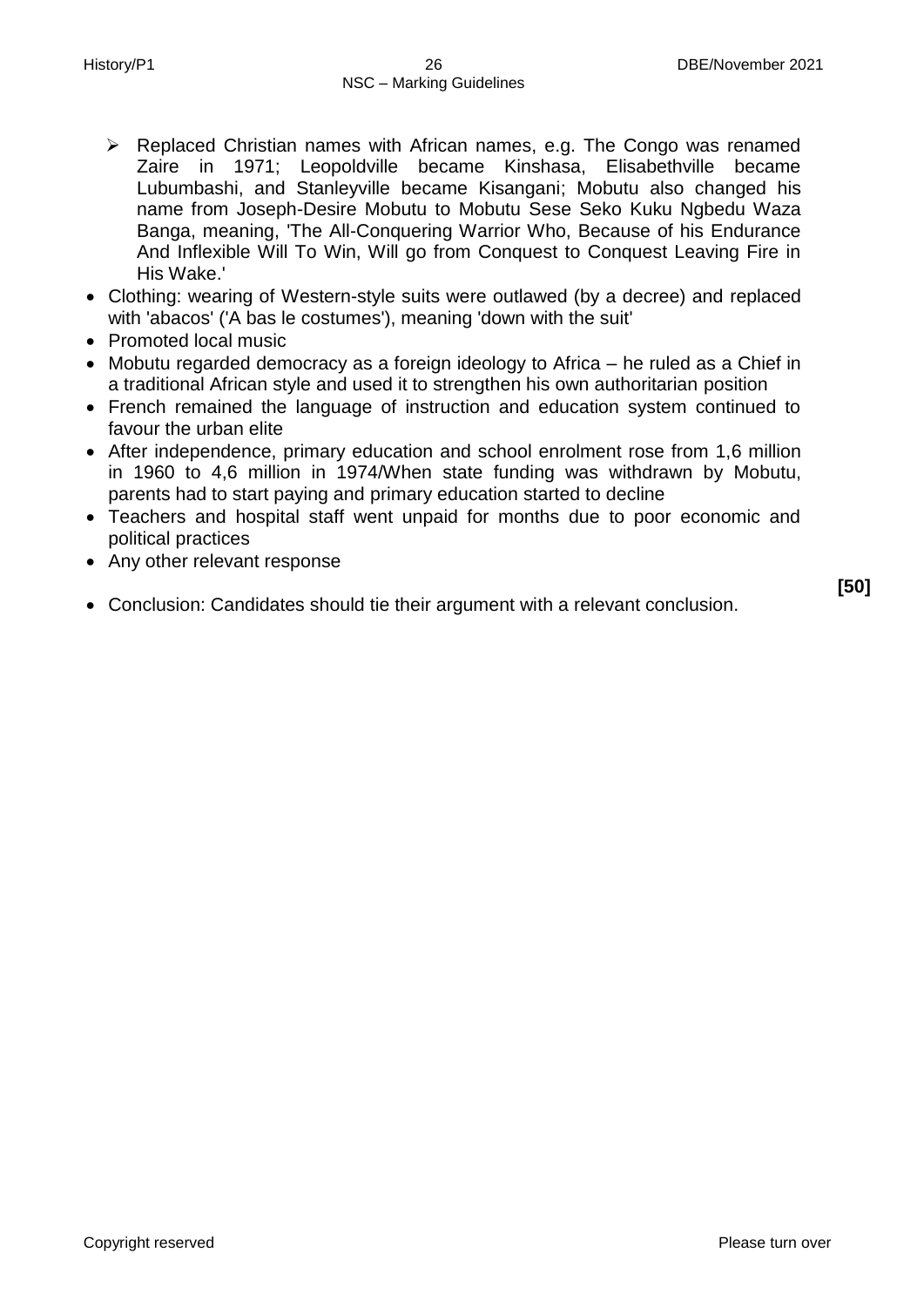- Replaced Christian names with African names, e.g. The Congo was renamed Zaire in 1971; Leopoldville became Kinshasa, Elisabethville became Lubumbashi, and Stanleyville became Kisangani; Mobutu also changed his name from Joseph-Desire Mobutu to Mobutu Sese Seko Kuku Ngbedu Waza Banga, meaning, 'The All-Conquering Warrior Who, Because of his Endurance And Inflexible Will To Win, Will go from Conquest to Conquest Leaving Fire in His Wake.'
- Clothing: wearing of Western-style suits were outlawed (by a decree) and replaced with 'abacos' ('A bas le costumes'), meaning 'down with the suit'
- Promoted local music
- Mobutu regarded democracy as a foreign ideology to Africa he ruled as a Chief in a traditional African style and used it to strengthen his own authoritarian position
- French remained the language of instruction and education system continued to favour the urban elite
- After independence, primary education and school enrolment rose from 1,6 million in 1960 to 4,6 million in 1974/When state funding was withdrawn by Mobutu, parents had to start paying and primary education started to decline
- Teachers and hospital staff went unpaid for months due to poor economic and political practices
- Any other relevant response
- Conclusion: Candidates should tie their argument with a relevant conclusion.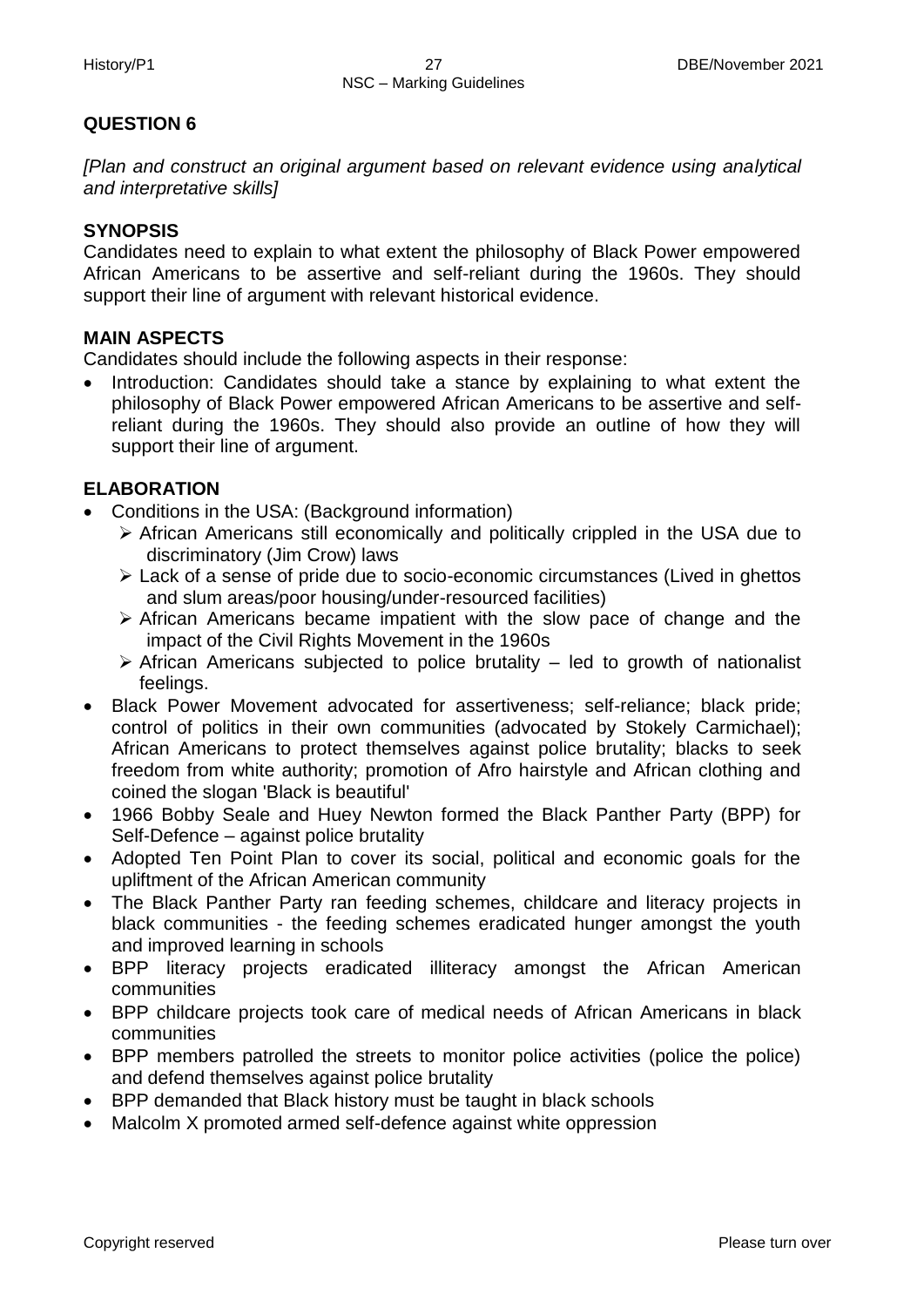# **QUESTION 6**

*[Plan and construct an original argument based on relevant evidence using analytical and interpretative skills]*

# **SYNOPSIS**

Candidates need to explain to what extent the philosophy of Black Power empowered African Americans to be assertive and self-reliant during the 1960s. They should support their line of argument with relevant historical evidence.

# **MAIN ASPECTS**

Candidates should include the following aspects in their response:

 Introduction: Candidates should take a stance by explaining to what extent the philosophy of Black Power empowered African Americans to be assertive and selfreliant during the 1960s. They should also provide an outline of how they will support their line of argument.

# **ELABORATION**

- Conditions in the USA: (Background information)
	- African Americans still economically and politically crippled in the USA due to discriminatory (Jim Crow) laws
	- Lack of a sense of pride due to socio-economic circumstances (Lived in ghettos and slum areas/poor housing/under-resourced facilities)
	- $\triangleright$  African Americans became impatient with the slow pace of change and the impact of the Civil Rights Movement in the 1960s
	- $\triangleright$  African Americans subjected to police brutality led to growth of nationalist feelings.
- Black Power Movement advocated for assertiveness; self-reliance; black pride; control of politics in their own communities (advocated by Stokely Carmichael); African Americans to protect themselves against police brutality; blacks to seek freedom from white authority; promotion of Afro hairstyle and African clothing and coined the slogan 'Black is beautiful'
- 1966 Bobby Seale and Huey Newton formed the Black Panther Party (BPP) for Self-Defence – against police brutality
- Adopted Ten Point Plan to cover its social, political and economic goals for the upliftment of the African American community
- The Black Panther Party ran feeding schemes, childcare and literacy projects in black communities - the feeding schemes eradicated hunger amongst the youth and improved learning in schools
- BPP literacy projects eradicated illiteracy amongst the African American communities
- BPP childcare projects took care of medical needs of African Americans in black communities
- BPP members patrolled the streets to monitor police activities (police the police) and defend themselves against police brutality
- BPP demanded that Black history must be taught in black schools
- Malcolm X promoted armed self-defence against white oppression